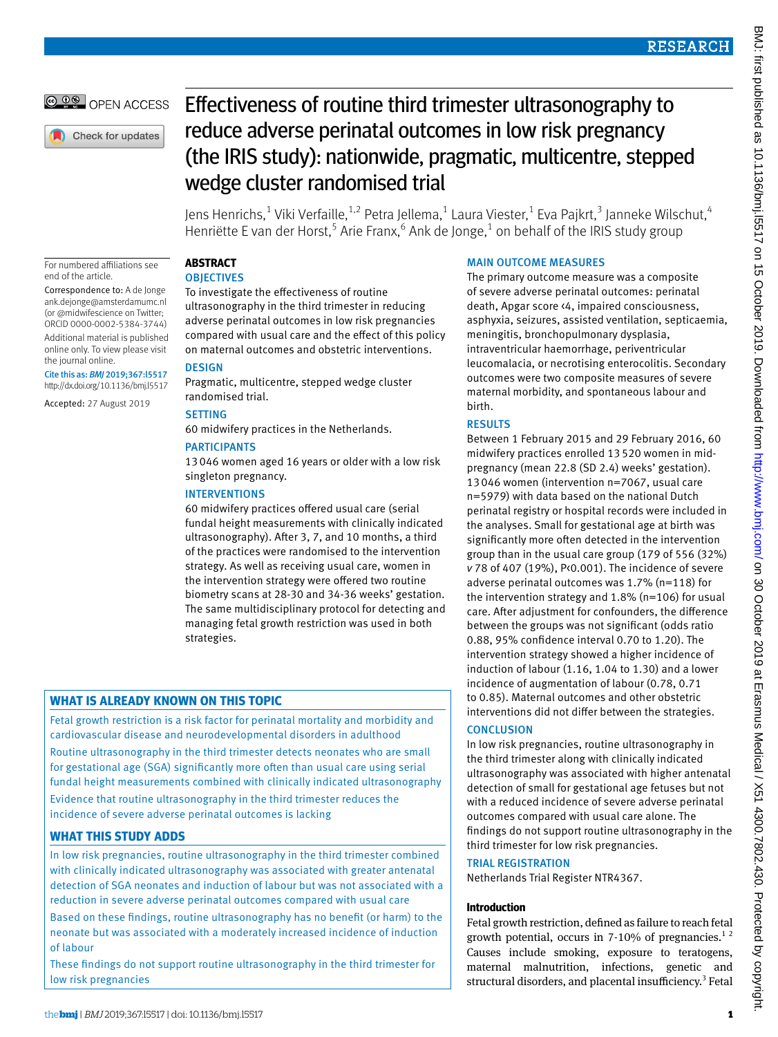# © 00 OPEN ACCESS

Check for updates

For numbered affiliations see end of the article.

Correspondence to: A de Jonge [ank.dejonge@amsterdamumc.nl](mailto:ank.dejonge@amsterdamumc.nl) (or [@midwifescience](https://twitter.com/midwifescience?lang=en) on Twitter; ORCID [0000-0002-5384-3744\)](http://orcid.org/0000-0002-5384-3744)

Additional material is published online only. To view please visit the journal online. Cite this as: *BMJ* 2019;367:l5517

http://dx.doi.org/10.1136/bmj.l5517

Accepted: 27 August 2019

# Effectiveness of routine third trimester ultrasonography to reduce adverse perinatal outcomes in low risk pregnancy (the IRIS study): nationwide, pragmatic, multicentre, stepped wedge cluster randomised trial

Jens Henrichs, $^1$  Viki Verfaille, $^{1,2}$  Petra Jellema, $^1$  Laura Viester, $^1$  Eva Pajkrt, $^3$  Janneke Wilschut, $^4$ Henriëtte E van der Horst,<sup>5</sup> Arie Franx,<sup>6</sup> Ank de Jonge,<sup>1</sup> on behalf of the IRIS study group

# **ABSTRACT**

# **OBJECTIVES**

To investigate the effectiveness of routine ultrasonography in the third trimester in reducing adverse perinatal outcomes in low risk pregnancies compared with usual care and the effect of this policy on maternal outcomes and obstetric interventions.

# **DESIGN**

Pragmatic, multicentre, stepped wedge cluster randomised trial.

# **SETTING**

60 midwifery practices in the Netherlands.

### PARTICIPANTS

13046 women aged 16 years or older with a low risk singleton pregnancy.

# INTERVENTIONS

60 midwifery practices offered usual care (serial fundal height measurements with clinically indicated ultrasonography). After 3, 7, and 10 months, a third of the practices were randomised to the intervention strategy. As well as receiving usual care, women in the intervention strategy were offered two routine biometry scans at 28-30 and 34-36 weeks' gestation. The same multidisciplinary protocol for detecting and managing fetal growth restriction was used in both strategies.

# **WHAT IS ALREADY KNOWN ON THIS TOPIC**

Fetal growth restriction is a risk factor for perinatal mortality and morbidity and cardiovascular disease and neurodevelopmental disorders in adulthood Routine ultrasonography in the third trimester detects neonates who are small for gestational age (SGA) significantly more often than usual care using serial fundal height measurements combined with clinically indicated ultrasonography Evidence that routine ultrasonography in the third trimester reduces the incidence of severe adverse perinatal outcomes is lacking

# **WHAT THIS STUDY ADDS**

In low risk pregnancies, routine ultrasonography in the third trimester combined with clinically indicated ultrasonography was associated with greater antenatal detection of SGA neonates and induction of labour but was not associated with a reduction in severe adverse perinatal outcomes compared with usual care

Based on these findings, routine ultrasonography has no benefit (or harm) to the neonate but was associated with a moderately increased incidence of induction of labour

These findings do not support routine ultrasonography in the third trimester for low risk pregnancies

# MAIN OUTCOME MEASURES

The primary outcome measure was a composite of severe adverse perinatal outcomes: perinatal death, Apgar score <4, impaired consciousness, asphyxia, seizures, assisted ventilation, septicaemia, meningitis, bronchopulmonary dysplasia, intraventricular haemorrhage, periventricular leucomalacia, or necrotising enterocolitis. Secondary outcomes were two composite measures of severe maternal morbidity, and spontaneous labour and birth.

# RESULTS

Between 1 February 2015 and 29 February 2016, 60 midwifery practices enrolled 13520 women in midpregnancy (mean 22.8 (SD 2.4) weeks' gestation). 13046 women (intervention n=7067, usual care n=5979) with data based on the national Dutch perinatal registry or hospital records were included in the analyses. Small for gestational age at birth was significantly more often detected in the intervention group than in the usual care group (179 of 556 (32%) *v* 78 of 407 (19%), P<0.001). The incidence of severe adverse perinatal outcomes was 1.7% (n=118) for the intervention strategy and 1.8% (n=106) for usual care. After adjustment for confounders, the difference between the groups was not significant (odds ratio 0.88, 95% confidence interval 0.70 to 1.20). The intervention strategy showed a higher incidence of induction of labour (1.16, 1.04 to 1.30) and a lower incidence of augmentation of labour (0.78, 0.71 to 0.85). Maternal outcomes and other obstetric interventions did not differ between the strategies.

# **CONCLUSION**

In low risk pregnancies, routine ultrasonography in the third trimester along with clinically indicated ultrasonography was associated with higher antenatal detection of small for gestational age fetuses but not with a reduced incidence of severe adverse perinatal outcomes compared with usual care alone. The findings do not support routine ultrasonography in the third trimester for low risk pregnancies.

# TRIAL REGISTRATION

Netherlands Trial Register NTR4367.

# **Introduction**

Fetal growth restriction, defined as failure to reach fetal growth potential, occurs in  $7-10\%$  of pregnancies.<sup>12</sup> Causes include smoking, exposure to teratogens, maternal malnutrition, infections, genetic and structural disorders, and placental insufficiency.<sup>3</sup> Fetal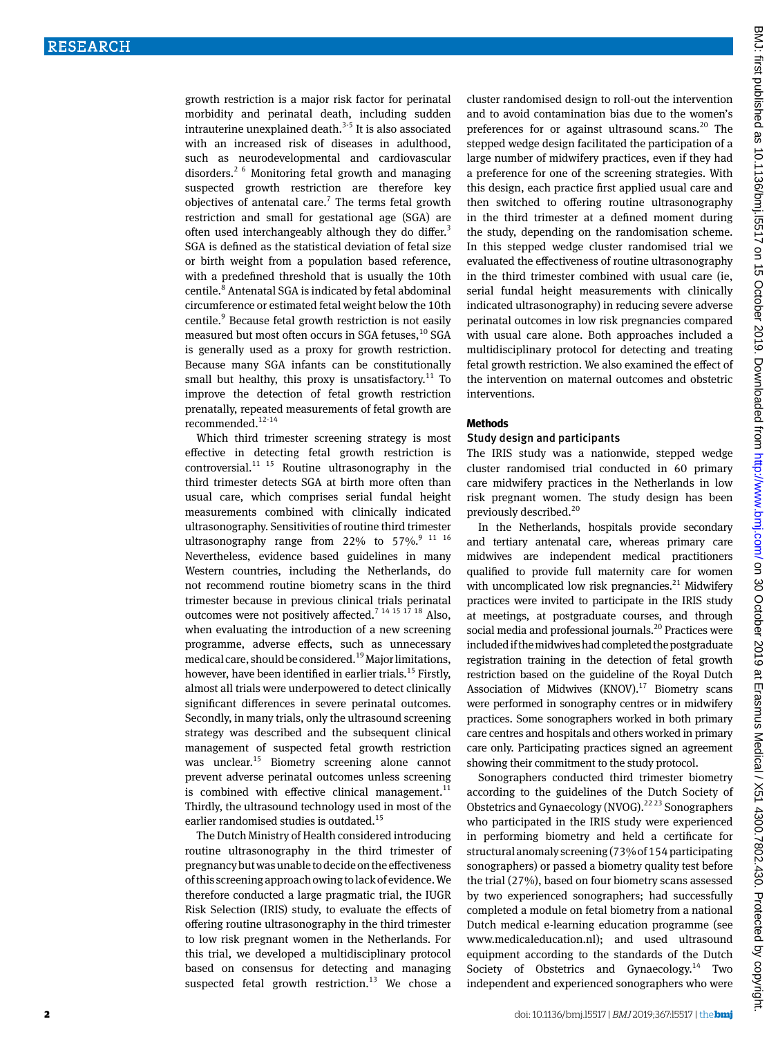growth restriction is a major risk factor for perinatal morbidity and perinatal death, including sudden intrauterine unexplained death. $3-5$  It is also associated with an increased risk of diseases in adulthood, such as neurodevelopmental and cardiovascular disorders.2 6 Monitoring fetal growth and managing suspected growth restriction are therefore key objectives of antenatal care.<sup>7</sup> The terms fetal growth restriction and small for gestational age (SGA) are often used interchangeably although they do differ.<sup>3</sup> SGA is defined as the statistical deviation of fetal size or birth weight from a population based reference, with a predefined threshold that is usually the 10th centile.<sup>8</sup> Antenatal SGA is indicated by fetal abdominal circumference or estimated fetal weight below the 10th centile.<sup>9</sup> Because fetal growth restriction is not easily measured but most often occurs in SGA fetuses,<sup>10</sup> SGA is generally used as a proxy for growth restriction. Because many SGA infants can be constitutionally small but healthy, this proxy is unsatisfactory.<sup>11</sup> To improve the detection of fetal growth restriction prenatally, repeated measurements of fetal growth are recommended.<sup>12-14</sup>

Which third trimester screening strategy is most effective in detecting fetal growth restriction is controversial. $^{11}$  <sup>15</sup> Routine ultrasonography in the third trimester detects SGA at birth more often than usual care, which comprises serial fundal height measurements combined with clinically indicated ultrasonography. Sensitivities of routine third trimester ultrasonography range from  $22\%$  to  $57\%$ .<sup>9 11 16</sup> Nevertheless, evidence based guidelines in many Western countries, including the Netherlands, do not recommend routine biometry scans in the third trimester because in previous clinical trials perinatal outcomes were not positively affected.<sup>7 14 15 17 18</sup> Also, when evaluating the introduction of a new screening programme, adverse effects, such as unnecessary medical care, should be considered.<sup>19</sup> Major limitations, however, have been identified in earlier trials.<sup>15</sup> Firstly, almost all trials were underpowered to detect clinically significant differences in severe perinatal outcomes. Secondly, in many trials, only the ultrasound screening strategy was described and the subsequent clinical management of suspected fetal growth restriction was unclear.<sup>15</sup> Biometry screening alone cannot prevent adverse perinatal outcomes unless screening is combined with effective clinical management. $^{11}$ Thirdly, the ultrasound technology used in most of the earlier randomised studies is outdated.<sup>15</sup>

The Dutch Ministry of Health considered introducing routine ultrasonography in the third trimester of pregnancy but was unable to decide on the effectiveness of this screening approach owing to lack of evidence. We therefore conducted a large pragmatic trial, the IUGR Risk Selection (IRIS) study, to evaluate the effects of offering routine ultrasonography in the third trimester to low risk pregnant women in the Netherlands. For this trial, we developed a multidisciplinary protocol based on consensus for detecting and managing suspected fetal growth restriction. $13$  We chose a cluster randomised design to roll-out the intervention and to avoid contamination bias due to the women's preferences for or against ultrasound scans.<sup>20</sup> The stepped wedge design facilitated the participation of a large number of midwifery practices, even if they had a preference for one of the screening strategies. With this design, each practice first applied usual care and then switched to offering routine ultrasonography in the third trimester at a defined moment during the study, depending on the randomisation scheme. In this stepped wedge cluster randomised trial we evaluated the effectiveness of routine ultrasonography in the third trimester combined with usual care (ie, serial fundal height measurements with clinically indicated ultrasonography) in reducing severe adverse perinatal outcomes in low risk pregnancies compared with usual care alone. Both approaches included a multidisciplinary protocol for detecting and treating fetal growth restriction. We also examined the effect of the intervention on maternal outcomes and obstetric interventions.

#### **Methods**

#### Study design and participants

The IRIS study was a nationwide, stepped wedge cluster randomised trial conducted in 60 primary care midwifery practices in the Netherlands in low risk pregnant women. The study design has been previously described.<sup>20</sup>

In the Netherlands, hospitals provide secondary and tertiary antenatal care, whereas primary care midwives are independent medical practitioners qualified to provide full maternity care for women with uncomplicated low risk pregnancies. $^{21}$  Midwifery practices were invited to participate in the IRIS study at meetings, at postgraduate courses, and through social media and professional journals.<sup>20</sup> Practices were included if the midwives had completed the postgraduate registration training in the detection of fetal growth restriction based on the guideline of the Royal Dutch Association of Midwives  $(KNOV).<sup>17</sup>$  Biometry scans were performed in sonography centres or in midwifery practices. Some sonographers worked in both primary care centres and hospitals and others worked in primary care only. Participating practices signed an agreement showing their commitment to the study protocol.

Sonographers conducted third trimester biometry according to the guidelines of the Dutch Society of Obstetrics and Gynaecology (NVOG).<sup>22 23</sup> Sonographers who participated in the IRIS study were experienced in performing biometry and held a certificate for structural anomaly screening (73% of 154 participating sonographers) or passed a biometry quality test before the trial (27%), based on four biometry scans assessed by two experienced sonographers; had successfully completed a module on fetal biometry from a national Dutch medical e-learning education programme (see [www.medicaleducation.nl](file:///\\192.168.31.5\bmj1.bmauk.net\bmj\Editorial\_content_processing\content_store\bmj\articles\research\henj050455\wip\www.medicaleducation.nl)); and used ultrasound equipment according to the standards of the Dutch Society of Obstetrics and Gynaecology.<sup>14</sup> Two independent and experienced sonographers who were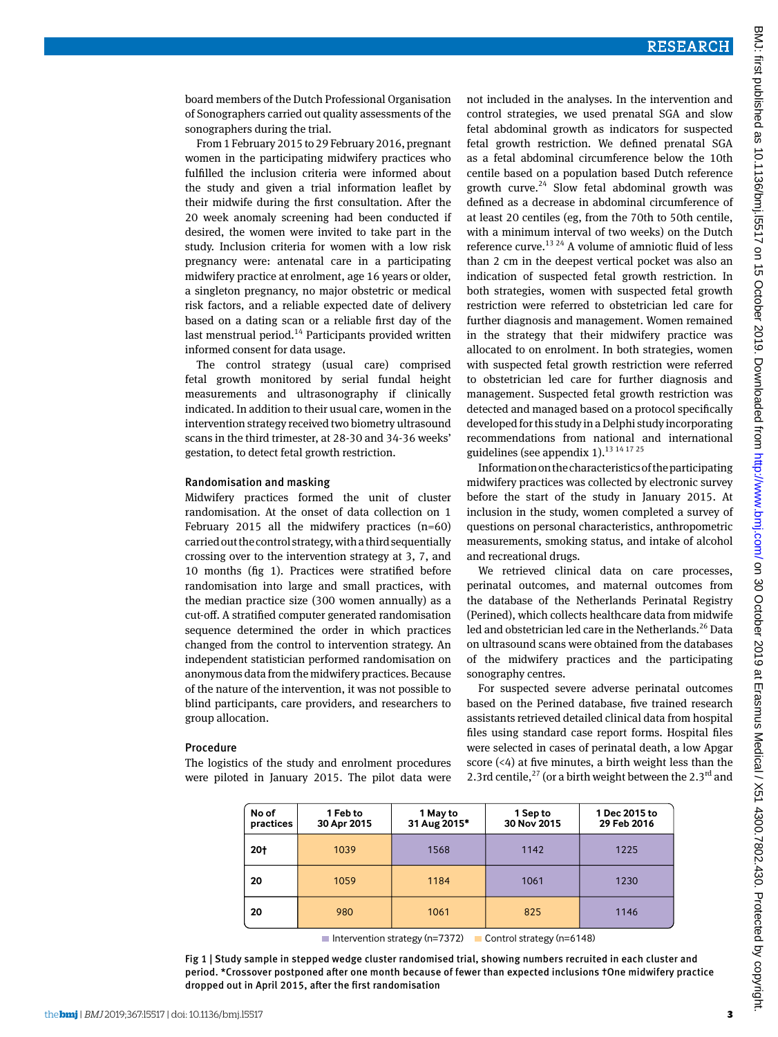board members of the Dutch Professional Organisation of Sonographers carried out quality assessments of the sonographers during the trial.

From 1 February 2015 to 29 February 2016, pregnant women in the participating midwifery practices who fulfilled the inclusion criteria were informed about the study and given a trial information leaflet by their midwife during the first consultation. After the 20 week anomaly screening had been conducted if desired, the women were invited to take part in the study. Inclusion criteria for women with a low risk pregnancy were: antenatal care in a participating midwifery practice at enrolment, age 16 years or older, a singleton pregnancy, no major obstetric or medical risk factors, and a reliable expected date of delivery based on a dating scan or a reliable first day of the last menstrual period.<sup>14</sup> Participants provided written informed consent for data usage.

The control strategy (usual care) comprised fetal growth monitored by serial fundal height measurements and ultrasonography if clinically indicated. In addition to their usual care, women in the intervention strategy received two biometry ultrasound scans in the third trimester, at 28-30 and 34-36 weeks' gestation, to detect fetal growth restriction.

#### Randomisation and masking

Midwifery practices formed the unit of cluster randomisation. At the onset of data collection on 1 February 2015 all the midwifery practices (n=60) carried out the control strategy, with a third sequentially crossing over to the intervention strategy at 3, 7, and 10 months (fig 1). Practices were stratified before randomisation into large and small practices, with the median practice size (300 women annually) as a cut-off. A stratified computer generated randomisation sequence determined the order in which practices changed from the control to intervention strategy. An independent statistician performed randomisation on anonymous data from the midwifery practices. Because of the nature of the intervention, it was not possible to blind participants, care providers, and researchers to group allocation.

#### Procedure

The logistics of the study and enrolment procedures were piloted in January 2015. The pilot data were not included in the analyses. In the intervention and control strategies, we used prenatal SGA and slow fetal abdominal growth as indicators for suspected fetal growth restriction. We defined prenatal SGA as a fetal abdominal circumference below the 10th centile based on a population based Dutch reference growth curve. $24$  Slow fetal abdominal growth was defined as a decrease in abdominal circumference of at least 20 centiles (eg, from the 70th to 50th centile, with a minimum interval of two weeks) on the Dutch reference curve.<sup>13 24</sup> A volume of amniotic fluid of less than 2 cm in the deepest vertical pocket was also an indication of suspected fetal growth restriction. In both strategies, women with suspected fetal growth restriction were referred to obstetrician led care for further diagnosis and management. Women remained in the strategy that their midwifery practice was allocated to on enrolment. In both strategies, women with suspected fetal growth restriction were referred to obstetrician led care for further diagnosis and management. Suspected fetal growth restriction was detected and managed based on a protocol specifically developed for this study in a Delphi study incorporating recommendations from national and international guidelines (see appendix  $1$ ).<sup>13 14 17 25</sup>

Information on the characteristics of the participating midwifery practices was collected by electronic survey before the start of the study in January 2015. At inclusion in the study, women completed a survey of questions on personal characteristics, anthropometric measurements, smoking status, and intake of alcohol and recreational drugs.

We retrieved clinical data on care processes, perinatal outcomes, and maternal outcomes from the database of the Netherlands Perinatal Registry (Perined), which collects healthcare data from midwife led and obstetrician led care in the Netherlands.<sup>26</sup> Data on ultrasound scans were obtained from the databases of the midwifery practices and the participating sonography centres.

For suspected severe adverse perinatal outcomes based on the Perined database, five trained research assistants retrieved detailed clinical data from hospital files using standard case report forms. Hospital files were selected in cases of perinatal death, a low Apgar score (<4) at five minutes, a birth weight less than the 2.3rd centile,<sup>27</sup> (or a birth weight between the 2.3<sup>rd</sup> and

| No of<br>practices | 1 Feb to<br>30 Apr 2015 | 1 May to<br>31 Aug 2015* | 1 Sep to<br>30 Nov 2015 | 1 Dec 2015 to<br>29 Feb 2016 |
|--------------------|-------------------------|--------------------------|-------------------------|------------------------------|
| 20 <sub>1</sub>    | 1039                    | 1568                     | 1142                    | 1225                         |
| 20                 | 1059                    | 1184                     | 1061                    | 1230                         |
| 20                 | 980                     | 1061                     | 825                     | 1146                         |

Intervention strategy (n=7372) Control strategy (n=6148)

Fig 1 | Study sample in stepped wedge cluster randomised trial, showing numbers recruited in each cluster and period. \*Crossover postponed after one month because of fewer than expected inclusions †One midwifery practice dropped out in April 2015, after the first randomisation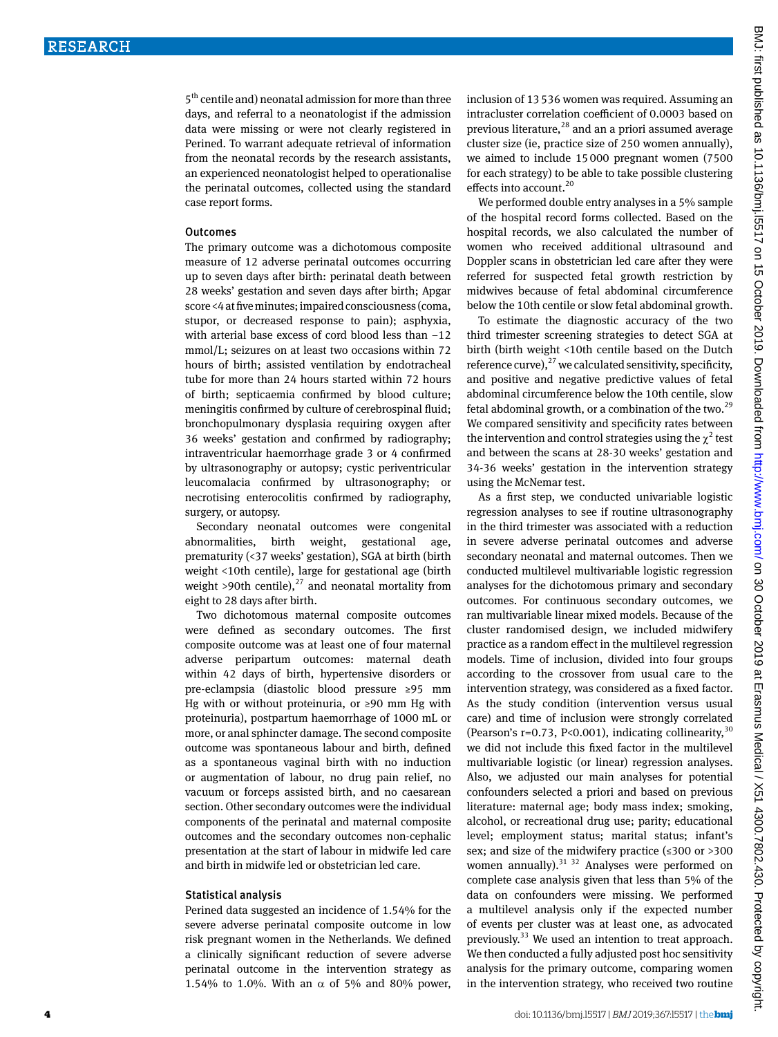5<sup>th</sup> centile and) neonatal admission for more than three days, and referral to a neonatologist if the admission data were missing or were not clearly registered in Perined. To warrant adequate retrieval of information from the neonatal records by the research assistants, an experienced neonatologist helped to operationalise the perinatal outcomes, collected using the standard case report forms.

#### **Outcomes**

The primary outcome was a dichotomous composite measure of 12 adverse perinatal outcomes occurring up to seven days after birth: perinatal death between 28 weeks' gestation and seven days after birth; Apgar score <4 at five minutes; impaired consciousness (coma, stupor, or decreased response to pain); asphyxia, with arterial base excess of cord blood less than −12 mmol/L; seizures on at least two occasions within 72 hours of birth; assisted ventilation by endotracheal tube for more than 24 hours started within 72 hours of birth; septicaemia confirmed by blood culture; meningitis confirmed by culture of cerebrospinal fluid; bronchopulmonary dysplasia requiring oxygen after 36 weeks' gestation and confirmed by radiography; intraventricular haemorrhage grade 3 or 4 confirmed by ultrasonography or autopsy; cystic periventricular leucomalacia confirmed by ultrasonography; or necrotising enterocolitis confirmed by radiography, surgery, or autopsy.

Secondary neonatal outcomes were congenital abnormalities, birth weight, gestational age, prematurity (<37 weeks' gestation), SGA at birth (birth weight <10th centile), large for gestational age (birth weight >90th centile), $^{27}$  and neonatal mortality from eight to 28 days after birth.

Two dichotomous maternal composite outcomes were defined as secondary outcomes. The first composite outcome was at least one of four maternal adverse peripartum outcomes: maternal death within 42 days of birth, hypertensive disorders or pre-eclampsia (diastolic blood pressure ≥95 mm Hg with or without proteinuria, or ≥90 mm Hg with proteinuria), postpartum haemorrhage of 1000 mL or more, or anal sphincter damage. The second composite outcome was spontaneous labour and birth, defined as a spontaneous vaginal birth with no induction or augmentation of labour, no drug pain relief, no vacuum or forceps assisted birth, and no caesarean section. Other secondary outcomes were the individual components of the perinatal and maternal composite outcomes and the secondary outcomes non-cephalic presentation at the start of labour in midwife led care and birth in midwife led or obstetrician led care.

#### Statistical analysis

Perined data suggested an incidence of 1.54% for the severe adverse perinatal composite outcome in low risk pregnant women in the Netherlands. We defined a clinically significant reduction of severe adverse perinatal outcome in the intervention strategy as 1.54% to 1.0%. With an  $\alpha$  of 5% and 80% power, inclusion of 13536 women was required. Assuming an intracluster correlation coefficient of 0.0003 based on previous literature,<sup>28</sup> and an a priori assumed average cluster size (ie, practice size of 250 women annually), we aimed to include 15000 pregnant women (7500 for each strategy) to be able to take possible clustering effects into account.<sup>20</sup>

We performed double entry analyses in a 5% sample of the hospital record forms collected. Based on the hospital records, we also calculated the number of women who received additional ultrasound and Doppler scans in obstetrician led care after they were referred for suspected fetal growth restriction by midwives because of fetal abdominal circumference below the 10th centile or slow fetal abdominal growth.

To estimate the diagnostic accuracy of the two third trimester screening strategies to detect SGA at birth (birth weight <10th centile based on the Dutch reference curve), $^{27}$  we calculated sensitivity, specificity, and positive and negative predictive values of fetal abdominal circumference below the 10th centile, slow fetal abdominal growth, or a combination of the two.<sup>29</sup> We compared sensitivity and specificity rates between the intervention and control strategies using the  $\chi^2$  test and between the scans at 28-30 weeks' gestation and 34-36 weeks' gestation in the intervention strategy using the McNemar test.

As a first step, we conducted univariable logistic regression analyses to see if routine ultrasonography in the third trimester was associated with a reduction in severe adverse perinatal outcomes and adverse secondary neonatal and maternal outcomes. Then we conducted multilevel multivariable logistic regression analyses for the dichotomous primary and secondary outcomes. For continuous secondary outcomes, we ran multivariable linear mixed models. Because of the cluster randomised design, we included midwifery practice as a random effect in the multilevel regression models. Time of inclusion, divided into four groups according to the crossover from usual care to the intervention strategy, was considered as a fixed factor. As the study condition (intervention versus usual care) and time of inclusion were strongly correlated (Pearson's r=0.73, P<0.001), indicating collinearity,  $30$ we did not include this fixed factor in the multilevel multivariable logistic (or linear) regression analyses. Also, we adjusted our main analyses for potential confounders selected a priori and based on previous literature: maternal age; body mass index; smoking, alcohol, or recreational drug use; parity; educational level; employment status; marital status; infant's sex; and size of the midwifery practice (≤300 or >300 women annually). $3132$  Analyses were performed on complete case analysis given that less than 5% of the data on confounders were missing. We performed a multilevel analysis only if the expected number of events per cluster was at least one, as advocated previously.33 We used an intention to treat approach. We then conducted a fully adjusted post hoc sensitivity analysis for the primary outcome, comparing women in the intervention strategy, who received two routine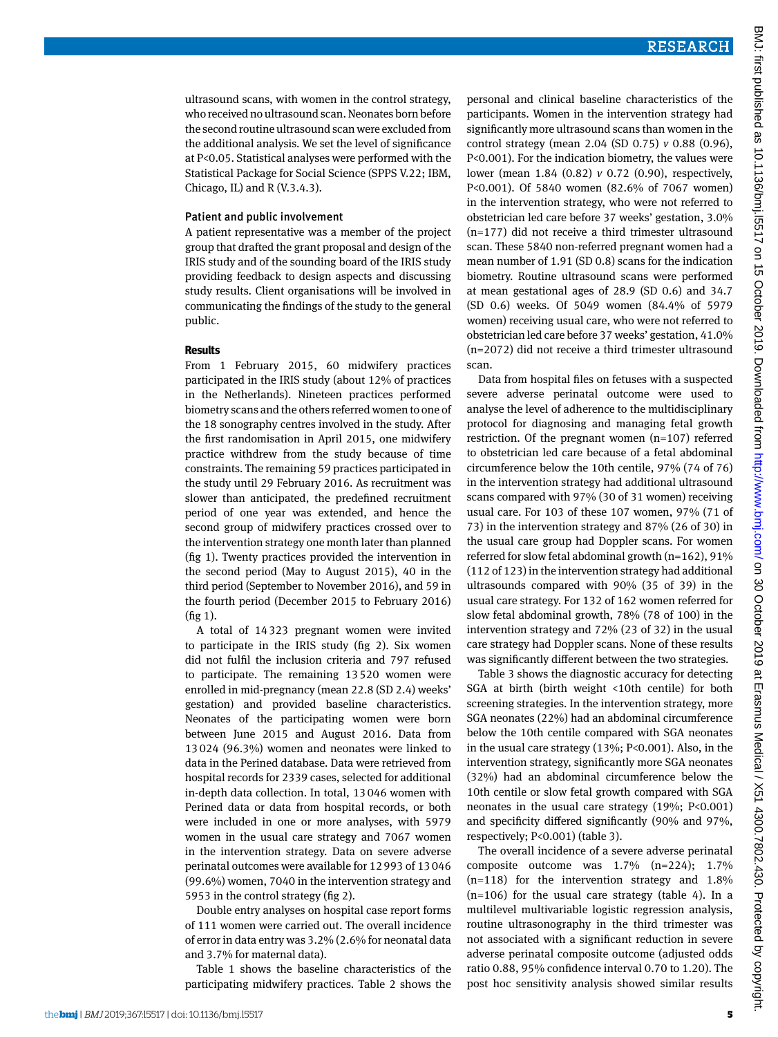ultrasound scans, with women in the control strategy, who received no ultrasound scan. Neonates born before the second routine ultrasound scan were excluded from the additional analysis. We set the level of significance at P<0.05. Statistical analyses were performed with the Statistical Package for Social Science (SPPS V.22; IBM, Chicago, IL) and R  $(V.3.4.3)$ .

#### Patient and public involvement

A patient representative was a member of the project group that drafted the grant proposal and design of the IRIS study and of the sounding board of the IRIS study providing feedback to design aspects and discussing study results. Client organisations will be involved in communicating the findings of the study to the general public.

#### **Results**

From 1 February 2015, 60 midwifery practices participated in the IRIS study (about 12% of practices in the Netherlands). Nineteen practices performed biometry scans and the others referred women to one of the 18 sonography centres involved in the study. After the first randomisation in April 2015, one midwifery practice withdrew from the study because of time constraints. The remaining 59 practices participated in the study until 29 February 2016. As recruitment was slower than anticipated, the predefined recruitment period of one year was extended, and hence the second group of midwifery practices crossed over to the intervention strategy one month later than planned (fig 1). Twenty practices provided the intervention in the second period (May to August 2015), 40 in the third period (September to November 2016), and 59 in the fourth period (December 2015 to February 2016) (fig 1).

A total of 14323 pregnant women were invited to participate in the IRIS study (fig 2). Six women did not fulfil the inclusion criteria and 797 refused to participate. The remaining 13520 women were enrolled in mid-pregnancy (mean 22.8 (SD 2.4) weeks' gestation) and provided baseline characteristics. Neonates of the participating women were born between June 2015 and August 2016. Data from 13024 (96.3%) women and neonates were linked to data in the Perined database. Data were retrieved from hospital records for 2339 cases, selected for additional in-depth data collection. In total, 13046 women with Perined data or data from hospital records, or both were included in one or more analyses, with 5979 women in the usual care strategy and 7067 women in the intervention strategy. Data on severe adverse perinatal outcomes were available for 12993 of 13046 (99.6%) women, 7040 in the intervention strategy and 5953 in the control strategy (fig 2).

Double entry analyses on hospital case report forms of 111 women were carried out. The overall incidence of error in data entry was 3.2% (2.6% for neonatal data and 3.7% for maternal data).

Table 1 shows the baseline characteristics of the participating midwifery practices. Table 2 shows the personal and clinical baseline characteristics of the participants. Women in the intervention strategy had significantly more ultrasound scans than women in the control strategy (mean 2.04 (SD 0.75) *v* 0.88 (0.96), P<0.001). For the indication biometry, the values were lower (mean 1.84 (0.82) *v* 0.72 (0.90), respectively, P<0.001). Of 5840 women (82.6% of 7067 women) in the intervention strategy, who were not referred to obstetrician led care before 37 weeks' gestation, 3.0% (n=177) did not receive a third trimester ultrasound scan. These 5840 non-referred pregnant women had a mean number of 1.91 (SD 0.8) scans for the indication biometry. Routine ultrasound scans were performed at mean gestational ages of 28.9 (SD 0.6) and 34.7 (SD 0.6) weeks. Of 5049 women (84.4% of 5979 women) receiving usual care, who were not referred to obstetrician led care before 37 weeks' gestation, 41.0% (n=2072) did not receive a third trimester ultrasound scan.

Data from hospital files on fetuses with a suspected severe adverse perinatal outcome were used to analyse the level of adherence to the multidisciplinary protocol for diagnosing and managing fetal growth restriction. Of the pregnant women (n=107) referred to obstetrician led care because of a fetal abdominal circumference below the 10th centile, 97% (74 of 76) in the intervention strategy had additional ultrasound scans compared with 97% (30 of 31 women) receiving usual care. For 103 of these 107 women, 97% (71 of 73) in the intervention strategy and 87% (26 of 30) in the usual care group had Doppler scans. For women referred for slow fetal abdominal growth (n=162), 91% (112 of 123) in the intervention strategy had additional ultrasounds compared with 90% (35 of 39) in the usual care strategy. For 132 of 162 women referred for slow fetal abdominal growth, 78% (78 of 100) in the intervention strategy and 72% (23 of 32) in the usual care strategy had Doppler scans. None of these results was significantly different between the two strategies.

Table 3 shows the diagnostic accuracy for detecting SGA at birth (birth weight <10th centile) for both screening strategies. In the intervention strategy, more SGA neonates (22%) had an abdominal circumference below the 10th centile compared with SGA neonates in the usual care strategy (13%; P<0.001). Also, in the intervention strategy, significantly more SGA neonates (32%) had an abdominal circumference below the 10th centile or slow fetal growth compared with SGA neonates in the usual care strategy (19%; P<0.001) and specificity differed significantly (90% and 97%, respectively; P<0.001) (table 3).

The overall incidence of a severe adverse perinatal composite outcome was 1.7% (n=224); 1.7%  $(n=118)$  for the intervention strategy and 1.8%  $(n=106)$  for the usual care strategy (table 4). In a multilevel multivariable logistic regression analysis, routine ultrasonography in the third trimester was not associated with a significant reduction in severe adverse perinatal composite outcome (adjusted odds ratio 0.88, 95% confidence interval 0.70 to 1.20). The post hoc sensitivity analysis showed similar results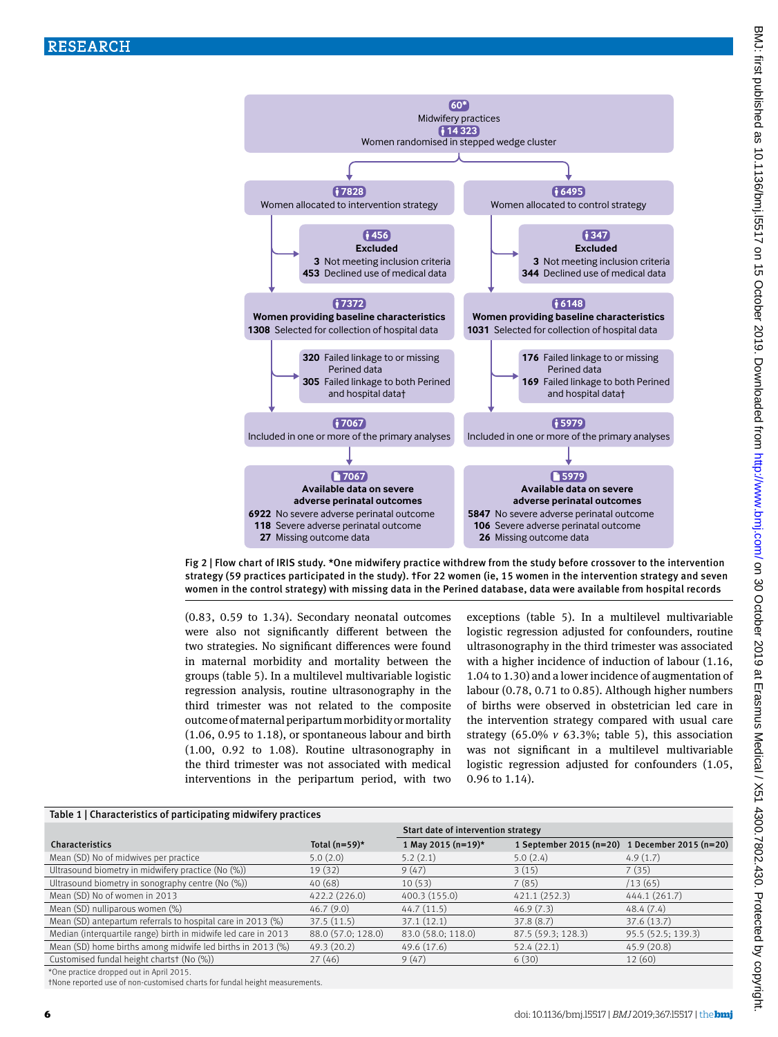

Fig 2 | Flow chart of IRIS study. \*One midwifery practice withdrew from the study before crossover to the intervention strategy (59 practices participated in the study). †For 22 women (ie, 15 women in the intervention strategy and seven women in the control strategy) with missing data in the Perined database, data were available from hospital records

(0.83, 0.59 to 1.34). Secondary neonatal outcomes were also not significantly different between the two strategies. No significant differences were found in maternal morbidity and mortality between the groups (table 5). In a multilevel multivariable logistic regression analysis, routine ultrasonography in the third trimester was not related to the composite outcome of maternal peripartum morbidity or mortality (1.06, 0.95 to 1.18), or spontaneous labour and birth (1.00, 0.92 to 1.08). Routine ultrasonography in the third trimester was not associated with medical interventions in the peripartum period, with two exceptions (table 5). In a multilevel multivariable logistic regression adjusted for confounders, routine ultrasonography in the third trimester was associated with a higher incidence of induction of labour (1.16, 1.04 to 1.30) and a lower incidence of augmentation of labour (0.78, 0.71 to 0.85). Although higher numbers of births were observed in obstetrician led care in the intervention strategy compared with usual care strategy  $(65.0\% \text{ v } 63.3\%;$  table 5), this association was not significant in a multilevel multivariable logistic regression adjusted for confounders (1.05, 0.96 to 1.14).

| Table 1   Characteristics of participating midwifery practices |                    |                                     |                    |                                                |  |  |  |  |
|----------------------------------------------------------------|--------------------|-------------------------------------|--------------------|------------------------------------------------|--|--|--|--|
|                                                                |                    | Start date of intervention strategy |                    |                                                |  |  |  |  |
| Characteristics                                                | Total ( $n=59$ )*  | 1 May 2015 (n=19)*                  |                    | 1 September 2015 (n=20) 1 December 2015 (n=20) |  |  |  |  |
| Mean (SD) No of midwives per practice                          | 5.0(2.0)           | 5.2(2.1)                            | 5.0(2.4)           | 4.9(1.7)                                       |  |  |  |  |
| Ultrasound biometry in midwifery practice (No (%))             | 19(32)             | 9(47)                               | 3(15)              | 7(35)                                          |  |  |  |  |
| Ultrasound biometry in sonography centre (No (%))              | 40(68)             | 10(53)                              | 7(85)              | /13(65)                                        |  |  |  |  |
| Mean (SD) No of women in 2013                                  | 422.2 (226.0)      | 400.3 (155.0)                       | 421.1 (252.3)      | 444.1 (261.7)                                  |  |  |  |  |
| Mean (SD) nulliparous women (%)                                | 46.7(9.0)          | 44.7(11.5)                          | 46.9(7.3)          | 48.4(7.4)                                      |  |  |  |  |
| Mean (SD) antepartum referrals to hospital care in 2013 (%)    | 37.5(11.5)         | 37.1(12.1)                          | 37.8(8.7)          | 37.6(13.7)                                     |  |  |  |  |
| Median (interquartile range) birth in midwife led care in 2013 | 88.0 (57.0; 128.0) | 83.0 (58.0; 118.0)                  | 87.5 (59.3; 128.3) | 95.5 (52.5; 139.3)                             |  |  |  |  |
| Mean (SD) home births among midwife led births in 2013 (%)     | 49.3(20.2)         | 49.6 (17.6)                         | 52.4(22.1)         | 45.9(20.8)                                     |  |  |  |  |
| Customised fundal height chartst (No (%))                      | 27(46)             | 9(47)                               | 6(30)              | 12(60)                                         |  |  |  |  |
|                                                                |                    |                                     |                    |                                                |  |  |  |  |

\*One practice dropped out in April 2015.

†None reported use of non-customised charts for fundal height measurements.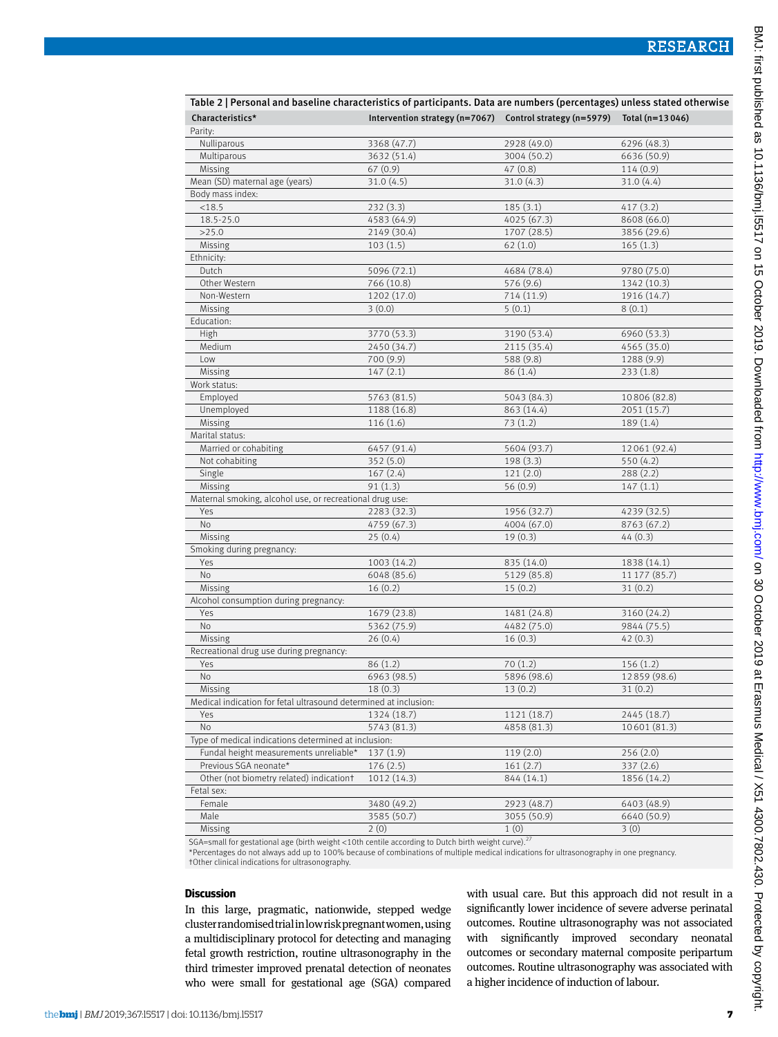| Table 2   Personal and baseline characteristics of participants. Data are numbers (percentages) unless stated otherwise |                                                                                      |                          |                          |  |  |  |
|-------------------------------------------------------------------------------------------------------------------------|--------------------------------------------------------------------------------------|--------------------------|--------------------------|--|--|--|
| Characteristics*                                                                                                        | Intervention strategy ( $n=7067$ ) Control strategy ( $n=5979$ ) Total ( $n=13046$ ) |                          |                          |  |  |  |
| Parity:                                                                                                                 |                                                                                      |                          |                          |  |  |  |
| Nulliparous                                                                                                             | 3368 (47.7)                                                                          | 2928 (49.0)              | 6296 (48.3)              |  |  |  |
| Multiparous                                                                                                             | 3632 (51.4)                                                                          | 3004 (50.2)              | 6636 (50.9)              |  |  |  |
| Missing                                                                                                                 | 67(0.9)                                                                              | 47(0.8)                  | 114(0.9)                 |  |  |  |
| Mean (SD) maternal age (years)                                                                                          | 31.0(4.5)                                                                            | 31.0(4.3)                | 31.0(4.4)                |  |  |  |
| Body mass index:                                                                                                        |                                                                                      |                          |                          |  |  |  |
| < 18.5                                                                                                                  | 232(3.3)                                                                             | 185(3.1)                 | 417(3.2)                 |  |  |  |
| 18.5-25.0                                                                                                               | 4583 (64.9)                                                                          | 4025 (67.3)              | 8608 (66.0)              |  |  |  |
| >25.0                                                                                                                   | 2149 (30.4)                                                                          | 1707 (28.5)              | 3856 (29.6)              |  |  |  |
| Missing                                                                                                                 | 103(1.5)                                                                             | 62(1.0)                  | 165(1.3)                 |  |  |  |
| Ethnicity:                                                                                                              |                                                                                      |                          |                          |  |  |  |
| Dutch                                                                                                                   | 5096 (72.1)                                                                          | 4684 (78.4)              | 9780 (75.0)              |  |  |  |
| Other Western                                                                                                           | 766 (10.8)                                                                           | 576 (9.6)                | 1342 (10.3)              |  |  |  |
| Non-Western                                                                                                             | 1202 (17.0)                                                                          | 714 (11.9)               | 1916 (14.7)              |  |  |  |
| Missing                                                                                                                 | 3(0.0)                                                                               | 5(0.1)                   | 8(0.1)                   |  |  |  |
| Education:                                                                                                              |                                                                                      |                          |                          |  |  |  |
| High                                                                                                                    | 3770 (53.3)                                                                          | 3190 (53.4)              | 6960 (53.3)              |  |  |  |
| Medium                                                                                                                  | 2450 (34.7)                                                                          | 2115 (35.4)              | 4565 (35.0)              |  |  |  |
| Low                                                                                                                     | 700 (9.9)                                                                            | 588 (9.8)                | 1288 (9.9)               |  |  |  |
| Missing                                                                                                                 | 147(2.1)                                                                             | 86 (1.4)                 | 233(1.8)                 |  |  |  |
| Work status:                                                                                                            |                                                                                      |                          |                          |  |  |  |
| Employed                                                                                                                | 5763 (81.5)                                                                          | 5043 (84.3)              | 10806 (82.8)             |  |  |  |
| Unemployed                                                                                                              | 1188 (16.8)                                                                          | 863 (14.4)               | 2051 (15.7)              |  |  |  |
| Missing                                                                                                                 | 116(1.6)                                                                             | 73(1.2)                  | 189(1.4)                 |  |  |  |
| Marital status:                                                                                                         |                                                                                      |                          |                          |  |  |  |
| Married or cohabiting                                                                                                   |                                                                                      |                          |                          |  |  |  |
| Not cohabiting                                                                                                          | 6457 (91.4)<br>352(5.0)                                                              | 5604 (93.7)<br>198 (3.3) | 12061 (92.4)<br>550(4.2) |  |  |  |
| Single                                                                                                                  | 167(2.4)                                                                             | 121(2.0)                 |                          |  |  |  |
| Missing                                                                                                                 | 91(1.3)                                                                              | 56 (0.9)                 | 288(2.2)                 |  |  |  |
| Maternal smoking, alcohol use, or recreational drug use:                                                                |                                                                                      |                          | 147(1.1)                 |  |  |  |
|                                                                                                                         |                                                                                      | 1956(32.7)               |                          |  |  |  |
| Yes<br>No                                                                                                               | 2283 (32.3)                                                                          | 4004 (67.0)              | 4239 (32.5)              |  |  |  |
|                                                                                                                         | 4759 (67.3)                                                                          |                          | 8763 (67.2)              |  |  |  |
| Missing                                                                                                                 | 25(0.4)                                                                              | 19(0.3)                  | 44(0.3)                  |  |  |  |
| Smoking during pregnancy:                                                                                               |                                                                                      |                          |                          |  |  |  |
| Yes                                                                                                                     | 1003 (14.2)                                                                          | 835 (14.0)               | 1838 (14.1)              |  |  |  |
| No                                                                                                                      | 6048 (85.6)                                                                          | 5129 (85.8)              | 11 177 (85.7)            |  |  |  |
| Missing                                                                                                                 | 16(0.2)                                                                              | 15(0.2)                  | 31(0.2)                  |  |  |  |
| Alcohol consumption during pregnancy:                                                                                   |                                                                                      |                          |                          |  |  |  |
| Yes                                                                                                                     | 1679 (23.8)                                                                          | 1481 (24.8)              | 3160 (24.2)              |  |  |  |
| No                                                                                                                      | 5362 (75.9)                                                                          | 4482 (75.0)              | 9844 (75.5)              |  |  |  |
| Missing                                                                                                                 | 26(0.4)                                                                              | 16(0.3)                  | 42(0.3)                  |  |  |  |
| Recreational drug use during pregnancy:                                                                                 |                                                                                      |                          |                          |  |  |  |
| Yes                                                                                                                     | 86(1.2)                                                                              | 70(1.2)                  | 156(1.2)                 |  |  |  |
| No                                                                                                                      | 6963 (98.5)                                                                          | 5896 (98.6)              | 12859 (98.6)             |  |  |  |
| Missing                                                                                                                 | 18(0.3)                                                                              | 13(0.2)                  | 31(0.2)                  |  |  |  |
| Medical indication for fetal ultrasound determined at inclusion:                                                        |                                                                                      |                          |                          |  |  |  |
| Yes                                                                                                                     | 1324 (18.7)                                                                          | 1121 (18.7)              | 2445 (18.7)              |  |  |  |
| No                                                                                                                      | 5743 (81.3)                                                                          | 4858 (81.3)              | 10601 (81.3)             |  |  |  |
| Type of medical indications determined at inclusion:                                                                    |                                                                                      |                          |                          |  |  |  |
| Fundal height measurements unreliable*                                                                                  | 137(1.9)                                                                             | 119(2.0)                 | 256(2.0)                 |  |  |  |
| Previous SGA neonate*                                                                                                   | 176(2.5)                                                                             | 161(2.7)                 | 337(2.6)                 |  |  |  |
| Other (not biometry related) indicationt                                                                                | 1012 (14.3)                                                                          | 844 (14.1)               | 1856 (14.2)              |  |  |  |
| Fetal sex:                                                                                                              |                                                                                      |                          |                          |  |  |  |
| Female                                                                                                                  | 3480 (49.2)                                                                          | 2923 (48.7)              | 6403 (48.9)              |  |  |  |
| Male                                                                                                                    | 3585 (50.7)                                                                          | 3055 (50.9)              | 6640 (50.9)              |  |  |  |
| Missing                                                                                                                 | 2(0)                                                                                 | 1(0)                     | 3(0)                     |  |  |  |

SGA=small for gestational age (birth weight <10th centile according to Dutch birth weight curve).<sup>2</sup>

\*Percentages do not always add up to 100% because of combinations of multiple medical indications for ultrasonography in one pregnancy.

†Other clinical indications for ultrasonography.

#### **Discussion**

In this large, pragmatic, nationwide, stepped wedge cluster randomised trial in low risk pregnant women, using a multidisciplinary protocol for detecting and managing fetal growth restriction, routine ultrasonography in the third trimester improved prenatal detection of neonates who were small for gestational age (SGA) compared with usual care. But this approach did not result in a significantly lower incidence of severe adverse perinatal outcomes. Routine ultrasonography was not associated with significantly improved secondary neonatal outcomes or secondary maternal composite peripartum outcomes. Routine ultrasonography was associated with a higher incidence of induction of labour.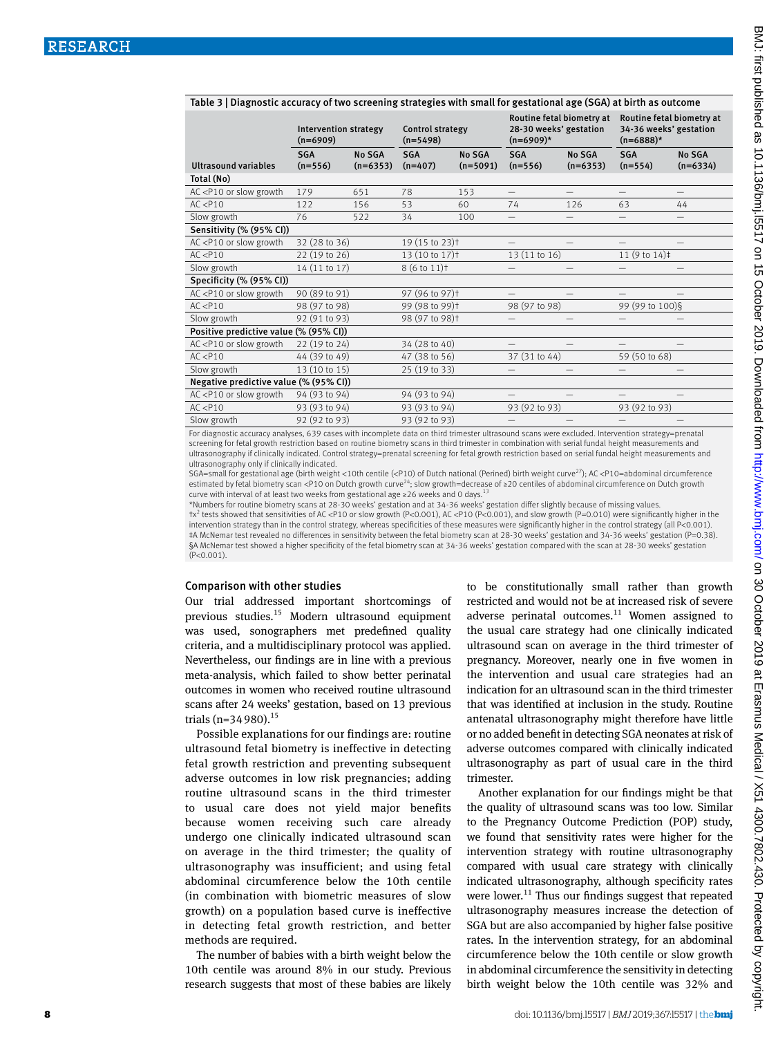| Table 3   Diagnostic accuracy of two screening strategies with small for gestational age (SGA) at birth as outcome                                                                                              |                                     |                      |                                              |                      |                                                                    |                          |                                                                    |                      |
|-----------------------------------------------------------------------------------------------------------------------------------------------------------------------------------------------------------------|-------------------------------------|----------------------|----------------------------------------------|----------------------|--------------------------------------------------------------------|--------------------------|--------------------------------------------------------------------|----------------------|
|                                                                                                                                                                                                                 | Intervention strategy<br>$(n=6909)$ |                      | <b>Control strategy</b><br>$(n=5498)$        |                      | Routine fetal biometry at<br>28-30 weeks' gestation<br>$(n=6909)*$ |                          | Routine fetal biometry at<br>34-36 weeks' gestation<br>$(n=6888)*$ |                      |
| <b>Ultrasound variables</b>                                                                                                                                                                                     | <b>SGA</b><br>$(n=556)$             | No SGA<br>$(n=6353)$ | <b>SGA</b><br>$(n=407)$                      | No SGA<br>$(n=5091)$ | <b>SGA</b><br>$(n=556)$                                            | No SGA<br>$(n=6353)$     | <b>SGA</b><br>$(n=554)$                                            | No SGA<br>$(n=6334)$ |
| Total (No)                                                                                                                                                                                                      |                                     |                      |                                              |                      |                                                                    |                          |                                                                    |                      |
| AC <p10 growth<="" or="" slow="" td=""><td>179</td><td>651</td><td>78</td><td>153</td><td><math display="block">\qquad \qquad -</math></td><td><math>\overline{\phantom{0}}</math></td><td></td><td></td></p10> | 179                                 | 651                  | 78                                           | 153                  | $\qquad \qquad -$                                                  | $\overline{\phantom{0}}$ |                                                                    |                      |
| AC < P10                                                                                                                                                                                                        | 122                                 | 156                  | 53                                           | 60                   | 74                                                                 | 126                      | 63                                                                 | 44                   |
| Slow growth                                                                                                                                                                                                     | 76                                  | 522                  | 34                                           | 100                  |                                                                    |                          |                                                                    |                      |
| Sensitivity (% (95% CI))                                                                                                                                                                                        |                                     |                      |                                              |                      |                                                                    |                          |                                                                    |                      |
| AC <p10 growth<="" or="" slow="" td=""><td>32 (28 to 36)</td><td></td><td>19 (15 to 23)<sup>†</sup></td><td></td><td></td><td></td><td></td><td></td></p10>                                                     | 32 (28 to 36)                       |                      | 19 (15 to 23) <sup>†</sup>                   |                      |                                                                    |                          |                                                                    |                      |
| AC < P10                                                                                                                                                                                                        | 22 (19 to 26)                       |                      | 13 (10 to 17) <sup>†</sup>                   |                      | 13 (11 to 16)                                                      |                          | 11 $(9 to 14)$ #                                                   |                      |
| Slow growth                                                                                                                                                                                                     | 14 (11 to 17)                       |                      | $8(6 \text{ to } 11)$ <sup>†</sup>           |                      | $\qquad \qquad$                                                    |                          |                                                                    |                      |
| Specificity (% (95% CI))                                                                                                                                                                                        |                                     |                      |                                              |                      |                                                                    |                          |                                                                    |                      |
| AC <p10 growth<="" or="" slow="" td=""><td>90 (89 to 91)</td><td></td><td>97 (96 to 97)<sup>+</sup></td><td></td><td></td><td></td><td></td><td></td></p10>                                                     | 90 (89 to 91)                       |                      | 97 (96 to 97) <sup>+</sup>                   |                      |                                                                    |                          |                                                                    |                      |
| AC < P10                                                                                                                                                                                                        | 98 (97 to 98)                       |                      | 99 (98 to 99) <sup>+</sup>                   |                      | 98 (97 to 98)                                                      |                          | 99 (99 to 100)§                                                    |                      |
| Slow growth                                                                                                                                                                                                     | 92 (91 to 93)                       |                      | 98 (97 to 98) <sup>+</sup>                   |                      |                                                                    |                          |                                                                    |                      |
| Positive predictive value (% (95% CI))                                                                                                                                                                          |                                     |                      |                                              |                      |                                                                    |                          |                                                                    |                      |
| AC <p10 growth<="" or="" slow="" td=""><td>22 (19 to 24)</td><td></td><td>34 (28 to 40)</td><td></td><td></td><td></td><td></td><td></td></p10>                                                                 | 22 (19 to 24)                       |                      | 34 (28 to 40)                                |                      |                                                                    |                          |                                                                    |                      |
| AC < P10                                                                                                                                                                                                        | 44 (39 to 49)                       |                      | 47 (38 to 56)                                |                      | 37 (31 to 44)                                                      |                          | 59 (50 to 68)                                                      |                      |
| Slow growth                                                                                                                                                                                                     | 13 (10 to 15)                       |                      | 25 (19 to 33)                                |                      |                                                                    |                          |                                                                    |                      |
| Negative predictive value (% (95% CI))                                                                                                                                                                          |                                     |                      |                                              |                      |                                                                    |                          |                                                                    |                      |
| AC <p10 growth<="" or="" slow="" td=""><td>94 (93 to 94)</td><td></td><td>94 (93 to 94)</td><td></td><td></td><td></td><td></td><td></td></p10>                                                                 | 94 (93 to 94)                       |                      | 94 (93 to 94)                                |                      |                                                                    |                          |                                                                    |                      |
| AC < P10                                                                                                                                                                                                        | 93 (93 to 94)                       |                      | 93 (93 to 94)                                |                      | 93 (92 to 93)                                                      |                          | 93 (92 to 93)                                                      |                      |
| Slow growth                                                                                                                                                                                                     | 92 (92 to 93)                       |                      | 93 (92 to 93)                                |                      | $\overline{\phantom{m}}$                                           |                          |                                                                    |                      |
|                                                                                                                                                                                                                 |                                     |                      | the commission of the commission of the com- |                      |                                                                    | .                        |                                                                    |                      |

For diagnostic accuracy analyses, 639 cases with incomplete data on third trimester ultrasound scans were excluded. Intervention strategy=prenatal screening for fetal growth restriction based on routine biometry scans in third trimester in combination with serial fundal height measurements and ultrasonography if clinically indicated. Control strategy=prenatal screening for fetal growth restriction based on serial fundal height measurements and ultrasonography only if clinically indicated.

SGA=small for gestational age (birth weight <10th centile (<P10) of Dutch national (Perined) birth weight curve<sup>27</sup>); AC <P10=abdominal circumference estimated by fetal biometry scan <P10 on Dutch growth curve<sup>24</sup>; slow growth=decrease of ≥20 centiles of abdominal circumference on Dutch growth curve with interval of at least two weeks from gestational age ≥26 weeks and 0 days.<sup>13</sup>

\*Numbers for routine biometry scans at 28-30 weeks' gestation and at 34-36 weeks' gestation differ slightly because of missing values.

†χ<sup>2</sup> tests showed that sensitivities of AC <P10 or slow growth (P<0.001), AC <P10 (P<0.001), and slow growth (P=0.010) were significantly higher in the intervention strategy than in the control strategy, whereas specificities of these measures were significantly higher in the control strategy (all P<0.001). ‡A McNemar test revealed no differences in sensitivity between the fetal biometry scan at 28-30 weeks' gestation and 34-36 weeks' gestation (P=0.38). §A McNemar test showed a higher specificity of the fetal biometry scan at 34-36 weeks' gestation compared with the scan at 28-30 weeks' gestation  $(P<0.001)$ .

#### Comparison with other studies

Our trial addressed important shortcomings of previous studies.15 Modern ultrasound equipment was used, sonographers met predefined quality criteria, and a multidisciplinary protocol was applied. Nevertheless, our findings are in line with a previous meta-analysis, which failed to show better perinatal outcomes in women who received routine ultrasound scans after 24 weeks' gestation, based on 13 previous trials (n=34980). $^{15}$ 

Possible explanations for our findings are: routine ultrasound fetal biometry is ineffective in detecting fetal growth restriction and preventing subsequent adverse outcomes in low risk pregnancies; adding routine ultrasound scans in the third trimester to usual care does not yield major benefits because women receiving such care already undergo one clinically indicated ultrasound scan on average in the third trimester; the quality of ultrasonography was insufficient; and using fetal abdominal circumference below the 10th centile (in combination with biometric measures of slow growth) on a population based curve is ineffective in detecting fetal growth restriction, and better methods are required.

The number of babies with a birth weight below the 10th centile was around 8% in our study. Previous research suggests that most of these babies are likely to be constitutionally small rather than growth restricted and would not be at increased risk of severe adverse perinatal outcomes. $11$  Women assigned to the usual care strategy had one clinically indicated ultrasound scan on average in the third trimester of pregnancy. Moreover, nearly one in five women in the intervention and usual care strategies had an indication for an ultrasound scan in the third trimester that was identified at inclusion in the study. Routine antenatal ultrasonography might therefore have little or no added benefit in detecting SGA neonates at risk of adverse outcomes compared with clinically indicated ultrasonography as part of usual care in the third trimester.

Another explanation for our findings might be that the quality of ultrasound scans was too low. Similar to the Pregnancy Outcome Prediction (POP) study, we found that sensitivity rates were higher for the intervention strategy with routine ultrasonography compared with usual care strategy with clinically indicated ultrasonography, although specificity rates were lower. $^{11}$  Thus our findings suggest that repeated ultrasonography measures increase the detection of SGA but are also accompanied by higher false positive rates. In the intervention strategy, for an abdominal circumference below the 10th centile or slow growth in abdominal circumference the sensitivity in detecting birth weight below the 10th centile was 32% and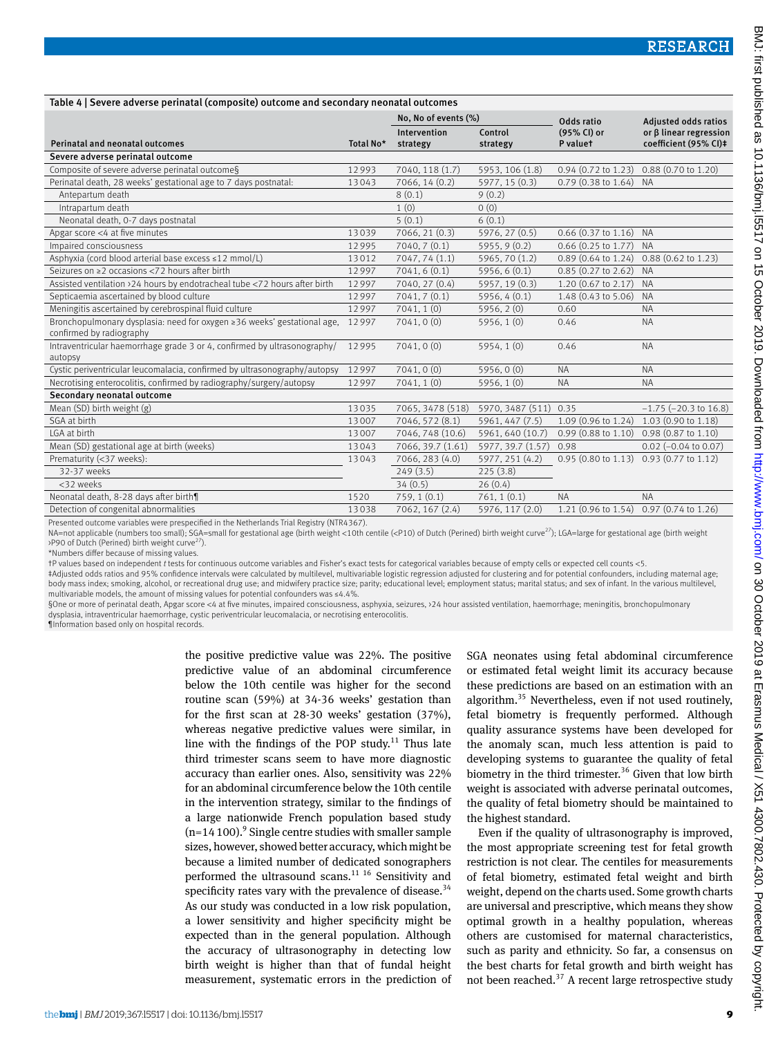| Table 4   Severe adverse perinatal (composite) outcome and secondary neonatal outcomes              |           |                      |                       |                                         |                                           |  |  |  |
|-----------------------------------------------------------------------------------------------------|-----------|----------------------|-----------------------|-----------------------------------------|-------------------------------------------|--|--|--|
|                                                                                                     |           | No, No of events (%) |                       | Odds ratio                              | <b>Adjusted odds ratios</b>               |  |  |  |
|                                                                                                     |           | Intervention         | Control               | (95% CI) or                             | or $\beta$ linear regression              |  |  |  |
| <b>Perinatal and neonatal outcomes</b>                                                              | Total No* | strategy             | strategy              | P valuet                                | coefficient (95% CI)#                     |  |  |  |
| Severe adverse perinatal outcome                                                                    |           |                      |                       |                                         |                                           |  |  |  |
| Composite of severe adverse perinatal outcome§                                                      | 12993     | 7040, 118 (1.7)      | 5953, 106 (1.8)       | $0.94$ (0.72 to 1.23)                   | 0.88 (0.70 to 1.20)                       |  |  |  |
| Perinatal death, 28 weeks' gestational age to 7 days postnatal:                                     | 13043     | 7066, 14 (0.2)       | 5977, 15 (0.3)        | 0.79 (0.38 to 1.64) NA                  |                                           |  |  |  |
| Antepartum death                                                                                    |           | 8(0.1)               | 9(0.2)                |                                         |                                           |  |  |  |
| Intrapartum death                                                                                   |           | 1(0)                 | 0(0)                  |                                         |                                           |  |  |  |
| Neonatal death, 0-7 days postnatal                                                                  |           | 5(0.1)               | 6(0.1)                |                                         |                                           |  |  |  |
| Apgar score <4 at five minutes                                                                      | 13039     | 7066, 21 (0.3)       | 5976, 27 (0.5)        | $0.66$ (0.37 to 1.16)                   | <b>NA</b>                                 |  |  |  |
| Impaired consciousness                                                                              | 12995     | 7040, 7 (0.1)        | 5955, 9 (0.2)         | $0.66$ (0.25 to 1.77)                   | <b>NA</b>                                 |  |  |  |
| Asphyxia (cord blood arterial base excess ≤12 mmol/L)                                               | 13012     | 7047, 74 (1.1)       | 5965, 70 (1.2)        | $0.89$ (0.64 to 1.24)                   | 0.88 (0.62 to 1.23)                       |  |  |  |
| Seizures on $\geq 2$ occasions <72 hours after birth                                                | 12997     | 7041, 6 (0.1)        | 5956, 6 (0.1)         | $0.85$ (0.27 to 2.62)                   | <b>NA</b>                                 |  |  |  |
| Assisted ventilation >24 hours by endotracheal tube <72 hours after birth                           | 12997     | 7040, 27 (0.4)       | 5957, 19 (0.3)        | 1.20 (0.67 to 2.17)                     | <b>NA</b>                                 |  |  |  |
| Septicaemia ascertained by blood culture                                                            | 12997     | 7041, 7(0.1)         | 5956, 4 (0.1)         | 1.48 (0.43 to 5.06)                     | <b>NA</b>                                 |  |  |  |
| Meningitis ascertained by cerebrospinal fluid culture                                               | 12997     | 7041, 1(0)           | 5956, 2 (0)           | 0.60                                    | <b>NA</b>                                 |  |  |  |
| Bronchopulmonary dysplasia: need for oxygen ≥36 weeks' gestational age,<br>confirmed by radiography | 12997     | 7041, 0(0)           | 5956, 1 (0)           | 0.46                                    | <b>NA</b>                                 |  |  |  |
| Intraventricular haemorrhage grade 3 or 4, confirmed by ultrasonography/<br>autopsy                 | 12995     | 7041, 0(0)           | 5954, 1(0)            | 0.46                                    | <b>NA</b>                                 |  |  |  |
| Cystic periventricular leucomalacia, confirmed by ultrasonography/autopsy                           | 12997     | 7041, 0 (0)          | 5956, 0 (0)           | <b>NA</b>                               | <b>NA</b>                                 |  |  |  |
| Necrotising enterocolitis, confirmed by radiography/surgery/autopsy                                 | 12997     | 7041, 1(0)           | 5956, 1 (0)           | <b>NA</b>                               | <b>NA</b>                                 |  |  |  |
| Secondary neonatal outcome                                                                          |           |                      |                       |                                         |                                           |  |  |  |
| Mean (SD) birth weight (g)                                                                          | 13035     | 7065, 3478 (518)     | 5970, 3487 (511) 0.35 |                                         | $-1.75$ ( $-20.3$ to 16.8)                |  |  |  |
| SGA at birth                                                                                        | 13007     | 7046, 572 (8.1)      | 5961, 447 (7.5)       | 1.09 (0.96 to 1.24)                     | 1.03 (0.90 to 1.18)                       |  |  |  |
| LGA at birth                                                                                        | 13007     | 7046, 748 (10.6)     | 5961, 640 (10.7)      | 0.99 (0.88 to 1.10) 0.98 (0.87 to 1.10) |                                           |  |  |  |
| Mean (SD) gestational age at birth (weeks)                                                          | 13043     | 7066, 39.7 (1.61)    | 5977, 39.7 (1.57)     | 0.98                                    | $0.02$ (-0.04 to 0.07)                    |  |  |  |
| Prematurity (<37 weeks):                                                                            | 13043     | 7066, 283 (4.0)      | 5977, 251 (4.2)       |                                         | $0.95$ (0.80 to 1.13) 0.93 (0.77 to 1.12) |  |  |  |
| 32-37 weeks                                                                                         |           | 249(3.5)             | 225(3.8)              |                                         |                                           |  |  |  |
| <32 weeks                                                                                           |           | 34(0.5)              | 26(0.4)               |                                         |                                           |  |  |  |
| Neonatal death, 8-28 days after birth¶                                                              | 1520      | 759, 1(0.1)          | 761, 1(0.1)           | <b>NA</b>                               | <b>NA</b>                                 |  |  |  |
| Detection of congenital abnormalities                                                               | 13038     | 7062, 167 (2.4)      | 5976, 117 (2.0)       | 1.21 (0.96 to 1.54) 0.97 (0.74 to 1.26) |                                           |  |  |  |

Presented outcome variables were prespecified in the Netherlands Trial Registry (NTR4367).

NA=not applicable (numbers too small); SGA=small for gestational age (birth weight <10th centile (<P10) of Dutch (Perined) birth weight curve<sup>27</sup>); LGA=large for gestational age (birth weight >P90 of Dutch (Perined) birth weight curve<sup>27</sup>).

\*Numbers differ because of missing values.

†P values based on independent *t* tests for continuous outcome variables and Fisher's exact tests for categorical variables because of empty cells or expected cell counts <5.

‡Adjusted odds ratios and 95% confidence intervals were calculated by multilevel, multivariable logistic regression adjusted for clustering and for potential confounders, including maternal age; body mass index; smoking, alcohol, or recreational drug use; and midwifery practice size; parity; educational level; employment status; marital status; and sex of infant. In the various multilevel, multivariable models, the amount of missing values for potential confounders was ≤4.4%.

§One or more of perinatal death, Apgar score <4 at five minutes, impaired consciousness, asphyxia, seizures, >24 hour assisted ventilation, haemorrhage; meningitis, bronchopulmonary dysplasia, intraventricular haemorrhage, cystic periventricular leucomalacia, or necrotising enterocolitis.

¶Information based only on hospital records.

the positive predictive value was 22%. The positive predictive value of an abdominal circumference below the 10th centile was higher for the second routine scan (59%) at 34-36 weeks' gestation than for the first scan at 28-30 weeks' gestation (37%), whereas negative predictive values were similar, in line with the findings of the POP study.<sup>11</sup> Thus late third trimester scans seem to have more diagnostic accuracy than earlier ones. Also, sensitivity was 22% for an abdominal circumference below the 10th centile in the intervention strategy, similar to the findings of a large nationwide French population based study  $(n=14100)$ .<sup>9</sup> Single centre studies with smaller sample sizes, however, showed better accuracy, which might be because a limited number of dedicated sonographers performed the ultrasound scans.<sup>11 16</sup> Sensitivity and specificity rates vary with the prevalence of disease. $34$ As our study was conducted in a low risk population, a lower sensitivity and higher specificity might be expected than in the general population. Although the accuracy of ultrasonography in detecting low birth weight is higher than that of fundal height measurement, systematic errors in the prediction of

SGA neonates using fetal abdominal circumference or estimated fetal weight limit its accuracy because these predictions are based on an estimation with an algorithm.35 Nevertheless, even if not used routinely, fetal biometry is frequently performed. Although quality assurance systems have been developed for the anomaly scan, much less attention is paid to developing systems to guarantee the quality of fetal biometry in the third trimester.<sup>36</sup> Given that low birth weight is associated with adverse perinatal outcomes, the quality of fetal biometry should be maintained to the highest standard.

Even if the quality of ultrasonography is improved, the most appropriate screening test for fetal growth restriction is not clear. The centiles for measurements of fetal biometry, estimated fetal weight and birth weight, depend on the charts used. Some growth charts are universal and prescriptive, which means they show optimal growth in a healthy population, whereas others are customised for maternal characteristics, such as parity and ethnicity. So far, a consensus on the best charts for fetal growth and birth weight has not been reached. $37$  A recent large retrospective study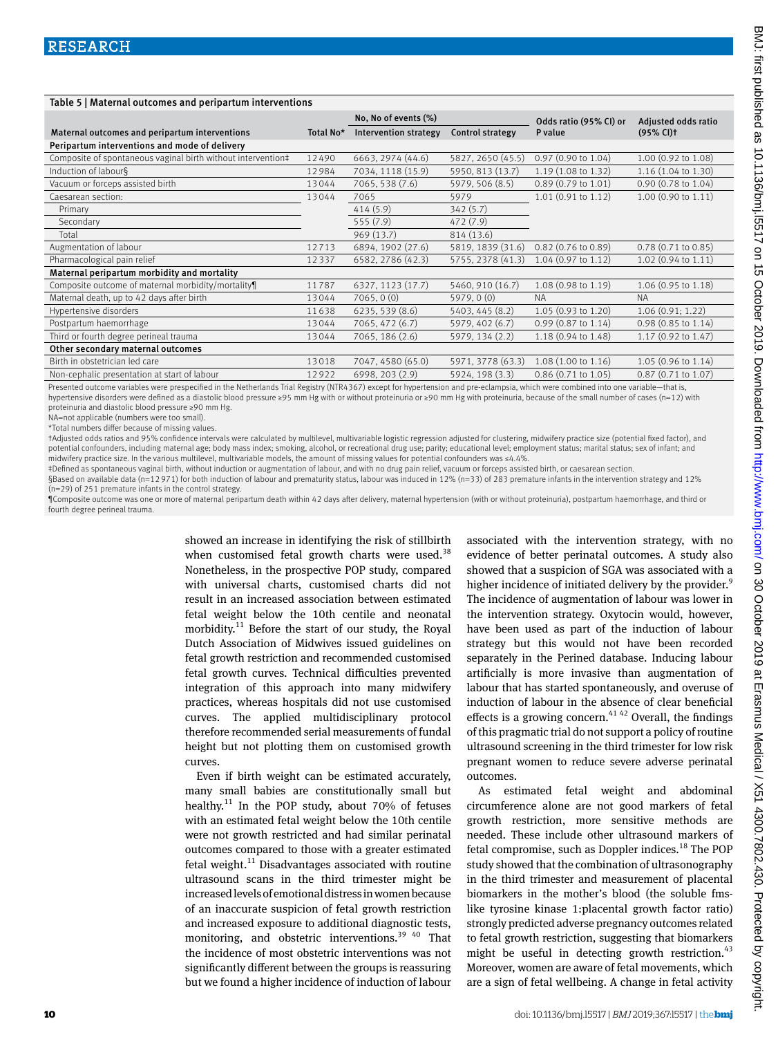### Table 5 | Maternal outcomes and peripartum interventions

|                                                              |           | No, No of events (%)  |                         | Odds ratio (95% CI) or        | Adjusted odds ratio       |
|--------------------------------------------------------------|-----------|-----------------------|-------------------------|-------------------------------|---------------------------|
| Maternal outcomes and peripartum interventions               | Total No* | Intervention strategy | <b>Control strategy</b> | P value                       | (95% CI)                  |
| Peripartum interventions and mode of delivery                |           |                       |                         |                               |                           |
| Composite of spontaneous vaginal birth without intervention# | 12490     | 6663, 2974 (44.6)     | 5827, 2650 (45.5)       | $0.97$ (0.90 to 1.04)         | 1.00 (0.92 to 1.08)       |
| Induction of labour§                                         | 12984     | 7034, 1118 (15.9)     | 5950, 813 (13.7)        | 1.19(1.08 to 1.32)            | 1.16 (1.04 to 1.30)       |
| Vacuum or forceps assisted birth                             | 13044     | 7065, 538 (7.6)       | 5979, 506 (8.5)         | $0.89(0.79 \text{ to } 1.01)$ | 0.90 (0.78 to 1.04)       |
| Caesarean section:                                           | 13044     | 7065                  | 5979                    | $1.01(0.91 \text{ to } 1.12)$ | $1.00$ (0.90 to $1.11$ )  |
| Primary                                                      |           | 414(5.9)              | 342(5.7)                |                               |                           |
| Secondary                                                    |           | 555(7.9)              | 472(7.9)                |                               |                           |
| Total                                                        |           | 969(13.7)             | 814 (13.6)              |                               |                           |
| Augmentation of labour                                       | 12713     | 6894, 1902 (27.6)     | 5819, 1839 (31.6)       | $0.82$ (0.76 to 0.89)         | $0.78$ $(0.71$ to $0.85)$ |
| Pharmacological pain relief                                  | 12337     | 6582, 2786 (42.3)     | 5755, 2378 (41.3)       | 1.04 (0.97 to 1.12)           | $1.02$ (0.94 to $1.11$ )  |
| Maternal peripartum morbidity and mortality                  |           |                       |                         |                               |                           |
| Composite outcome of maternal morbidity/mortality            | 11787     | 6327, 1123 (17.7)     | 5460, 910 (16.7)        | $1.08(0.98 \text{ to } 1.19)$ | 1.06 (0.95 to 1.18)       |
| Maternal death, up to 42 days after birth                    | 13044     | 7065, 0(0)            | 5979, 0 (0)             | <b>NA</b>                     | <b>NA</b>                 |
| Hypertensive disorders                                       | 11638     | 6235, 539 (8.6)       | 5403, 445 (8.2)         | 1.05 (0.93 to 1.20)           | 1.06(0.91; 1.22)          |
| Postpartum haemorrhage                                       | 13044     | 7065, 472 (6.7)       | 5979, 402 (6.7)         | $0.99$ (0.87 to 1.14)         | $0.98$ (0.85 to 1.14)     |
| Third or fourth degree perineal trauma                       | 13044     | 7065, 186 (2.6)       | 5979, 134 (2.2)         | 1.18 (0.94 to 1.48)           | 1.17 (0.92 to 1.47)       |
| Other secondary maternal outcomes                            |           |                       |                         |                               |                           |
| Birth in obstetrician led care                               | 13018     | 7047, 4580 (65.0)     | 5971, 3778 (63.3)       | 1.08 (1.00 to 1.16)           | 1.05 (0.96 to 1.14)       |
| Non-cephalic presentation at start of labour                 | 12922     | 6998, 203 (2.9)       | 5924, 198 (3.3)         | $0.86$ (0.71 to 1.05)         | $0.87$ (0.71 to 1.07)     |

Presented outcome variables were prespecified in the Netherlands Trial Registry (NTR4367) except for hypertension and pre-eclampsia, which were combined into one variable—that is, hypertensive disorders were defined as a diastolic blood pressure ≥95 mm Hg with or without proteinuria or ≥90 mm Hg with proteinuria, because of the small number of cases (n=12) with proteinuria and diastolic blood pressure ≥90 mm Hg.

NA=not applicable (numbers were too small).

\*Total numbers differ because of missing values.

†Adjusted odds ratios and 95% confidence intervals were calculated by multilevel, multivariable logistic regression adjusted for clustering, midwifery practice size (potential fixed factor), and potential confounders, including maternal age; body mass index; smoking, alcohol, or recreational drug use; parity; educational level; employment status; marital status; sex of infant; and midwifery practice size. In the various multilevel, multivariable models, the amount of missing values for potential confounders was ≤4.4%.

‡Defined as spontaneous vaginal birth, without induction or augmentation of labour, and with no drug pain relief, vacuum or forceps assisted birth, or caesarean section.

§Based on available data (n=12 971) for both induction of labour and prematurity status, labour was induced in 12% (n=33) of 283 premature infants in the intervention strategy and 12% (n=29) of 251 premature infants in the control strategy.

¶Composite outcome was one or more of maternal peripartum death within 42 days after delivery, maternal hypertension (with or without proteinuria), postpartum haemorrhage, and third or fourth degree perineal trauma.

> showed an increase in identifying the risk of stillbirth when customised fetal growth charts were used.<sup>38</sup> Nonetheless, in the prospective POP study, compared with universal charts, customised charts did not result in an increased association between estimated fetal weight below the 10th centile and neonatal morbidity.<sup>11</sup> Before the start of our study, the Royal Dutch Association of Midwives issued guidelines on fetal growth restriction and recommended customised fetal growth curves. Technical difficulties prevented integration of this approach into many midwifery practices, whereas hospitals did not use customised curves. The applied multidisciplinary protocol therefore recommended serial measurements of fundal height but not plotting them on customised growth curves.

> Even if birth weight can be estimated accurately, many small babies are constitutionally small but healthy.<sup>11</sup> In the POP study, about  $70\%$  of fetuses with an estimated fetal weight below the 10th centile were not growth restricted and had similar perinatal outcomes compared to those with a greater estimated fetal weight. $11$  Disadvantages associated with routine ultrasound scans in the third trimester might be increased levels of emotional distress in women because of an inaccurate suspicion of fetal growth restriction and increased exposure to additional diagnostic tests, monitoring, and obstetric interventions.<sup>39</sup> 40</sup> That the incidence of most obstetric interventions was not significantly different between the groups is reassuring but we found a higher incidence of induction of labour

associated with the intervention strategy, with no evidence of better perinatal outcomes. A study also showed that a suspicion of SGA was associated with a higher incidence of initiated delivery by the provider.<sup>9</sup> The incidence of augmentation of labour was lower in the intervention strategy. Oxytocin would, however, have been used as part of the induction of labour strategy but this would not have been recorded separately in the Perined database. Inducing labour artificially is more invasive than augmentation of labour that has started spontaneously, and overuse of induction of labour in the absence of clear beneficial effects is a growing concern.<sup>41 42</sup> Overall, the findings of this pragmatic trial do not support a policy of routine ultrasound screening in the third trimester for low risk pregnant women to reduce severe adverse perinatal outcomes.

As estimated fetal weight and abdominal circumference alone are not good markers of fetal growth restriction, more sensitive methods are needed. These include other ultrasound markers of fetal compromise, such as Doppler indices.<sup>18</sup> The POP study showed that the combination of ultrasonography in the third trimester and measurement of placental biomarkers in the mother's blood (the soluble fmslike tyrosine kinase 1:placental growth factor ratio) strongly predicted adverse pregnancy outcomes related to fetal growth restriction, suggesting that biomarkers might be useful in detecting growth restriction. $43$ Moreover, women are aware of fetal movements, which are a sign of fetal wellbeing. A change in fetal activity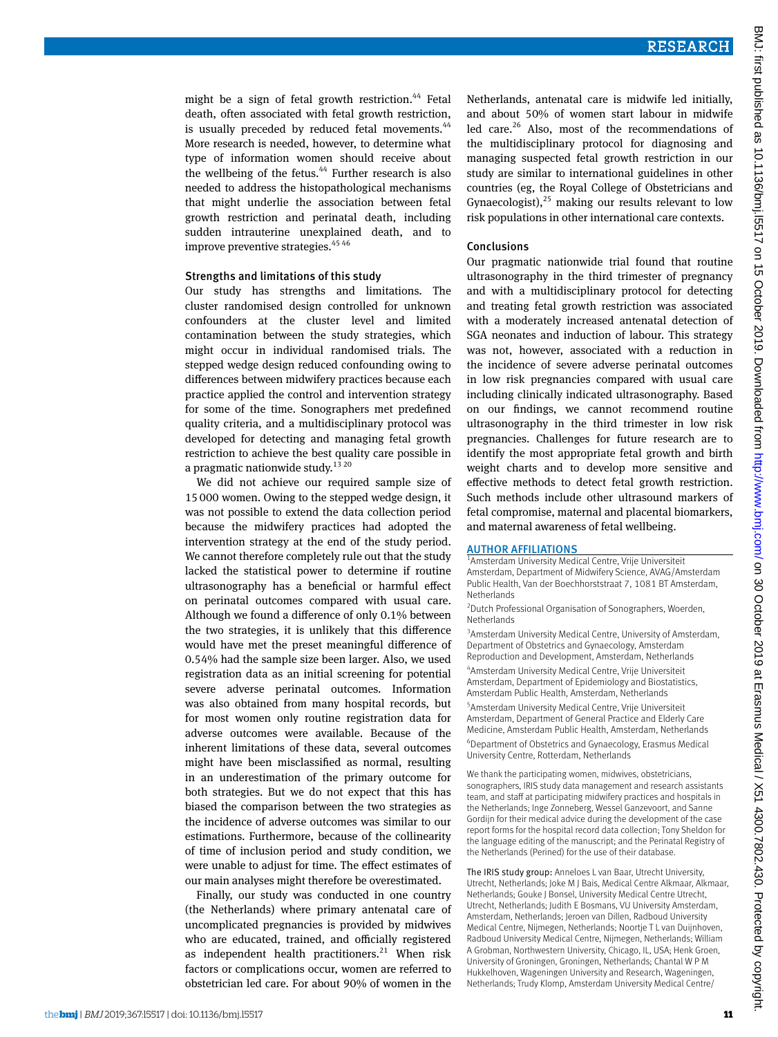might be a sign of fetal growth restriction.<sup>44</sup> Fetal death, often associated with fetal growth restriction, is usually preceded by reduced fetal movements.<sup>44</sup> More research is needed, however, to determine what type of information women should receive about the wellbeing of the fetus. $44$  Further research is also needed to address the histopathological mechanisms that might underlie the association between fetal growth restriction and perinatal death, including sudden intrauterine unexplained death, and to improve preventive strategies.<sup>45 46</sup>

#### Strengths and limitations of this study

Our study has strengths and limitations. The cluster randomised design controlled for unknown confounders at the cluster level and limited contamination between the study strategies, which might occur in individual randomised trials. The stepped wedge design reduced confounding owing to differences between midwifery practices because each practice applied the control and intervention strategy for some of the time. Sonographers met predefined quality criteria, and a multidisciplinary protocol was developed for detecting and managing fetal growth restriction to achieve the best quality care possible in a pragmatic nationwide study.<sup>13 20</sup>

We did not achieve our required sample size of 15000 women. Owing to the stepped wedge design, it was not possible to extend the data collection period because the midwifery practices had adopted the intervention strategy at the end of the study period. We cannot therefore completely rule out that the study lacked the statistical power to determine if routine ultrasonography has a beneficial or harmful effect on perinatal outcomes compared with usual care. Although we found a difference of only 0.1% between the two strategies, it is unlikely that this difference would have met the preset meaningful difference of 0.54% had the sample size been larger. Also, we used registration data as an initial screening for potential severe adverse perinatal outcomes. Information was also obtained from many hospital records, but for most women only routine registration data for adverse outcomes were available. Because of the inherent limitations of these data, several outcomes might have been misclassified as normal, resulting in an underestimation of the primary outcome for both strategies. But we do not expect that this has biased the comparison between the two strategies as the incidence of adverse outcomes was similar to our estimations. Furthermore, because of the collinearity of time of inclusion period and study condition, we were unable to adjust for time. The effect estimates of our main analyses might therefore be overestimated.

Finally, our study was conducted in one country (the Netherlands) where primary antenatal care of uncomplicated pregnancies is provided by midwives who are educated, trained, and officially registered as independent health practitioners. $^{21}$  When risk factors or complications occur, women are referred to obstetrician led care. For about 90% of women in the

Netherlands, antenatal care is midwife led initially, and about 50% of women start labour in midwife led care.<sup>26</sup> Also, most of the recommendations of the multidisciplinary protocol for diagnosing and managing suspected fetal growth restriction in our study are similar to international guidelines in other countries (eg, the Royal College of Obstetricians and Gynaecologist),  $25$  making our results relevant to low risk populations in other international care contexts.

#### Conclusions

Our pragmatic nationwide trial found that routine ultrasonography in the third trimester of pregnancy and with a multidisciplinary protocol for detecting and treating fetal growth restriction was associated with a moderately increased antenatal detection of SGA neonates and induction of labour. This strategy was not, however, associated with a reduction in the incidence of severe adverse perinatal outcomes in low risk pregnancies compared with usual care including clinically indicated ultrasonography. Based on our findings, we cannot recommend routine ultrasonography in the third trimester in low risk pregnancies. Challenges for future research are to identify the most appropriate fetal growth and birth weight charts and to develop more sensitive and effective methods to detect fetal growth restriction. Such methods include other ultrasound markers of fetal compromise, maternal and placental biomarkers, and maternal awareness of fetal wellbeing.

#### AUTHOR AFFILIATIONS

<sup>1</sup> Amsterdam University Medical Centre, Vrije Universiteit Amsterdam, Department of Midwifery Science, AVAG/Amsterdam Public Health, Van der Boechhorststraat 7, 1081 BT Amsterdam, Netherlands

2 Dutch Professional Organisation of Sonographers, Woerden, Netherlands

<sup>3</sup> Amsterdam University Medical Centre, University of Amsterdam, Department of Obstetrics and Gynaecology, Amsterdam Reproduction and Development, Amsterdam, Netherlands

4 Amsterdam University Medical Centre, Vrije Universiteit Amsterdam, Department of Epidemiology and Biostatistics, Amsterdam Public Health, Amsterdam, Netherlands

5 Amsterdam University Medical Centre, Vrije Universiteit Amsterdam, Department of General Practice and Elderly Care Medicine, Amsterdam Public Health, Amsterdam, Netherlands

6 Department of Obstetrics and Gynaecology, Erasmus Medical University Centre, Rotterdam, Netherlands

We thank the participating women, midwives, obstetricians, sonographers, IRIS study data management and research assistants team, and staff at participating midwifery practices and hospitals in the Netherlands; Inge Zonneberg, Wessel Ganzevoort, and Sanne Gordijn for their medical advice during the development of the case report forms for the hospital record data collection; Tony Sheldon for the language editing of the manuscript; and the Perinatal Registry of the Netherlands (Perined) for the use of their database.

The IRIS study group: Anneloes L van Baar, Utrecht University, Utrecht, Netherlands; Joke M J Bais, Medical Centre Alkmaar, Alkmaar, Netherlands; Gouke J Bonsel, University Medical Centre Utrecht, Utrecht, Netherlands; Judith E Bosmans, VU University Amsterdam, Amsterdam, Netherlands; Jeroen van Dillen, Radboud University Medical Centre, Nijmegen, Netherlands; Noortje T L van Duijnhoven, Radboud University Medical Centre, Nijmegen, Netherlands; William A Grobman, Northwestern University, Chicago, IL, USA; Henk Groen, University of Groningen, Groningen, Netherlands; Chantal W P M Hukkelhoven, Wageningen University and Research, Wageningen, Netherlands; Trudy Klomp, Amsterdam University Medical Centre/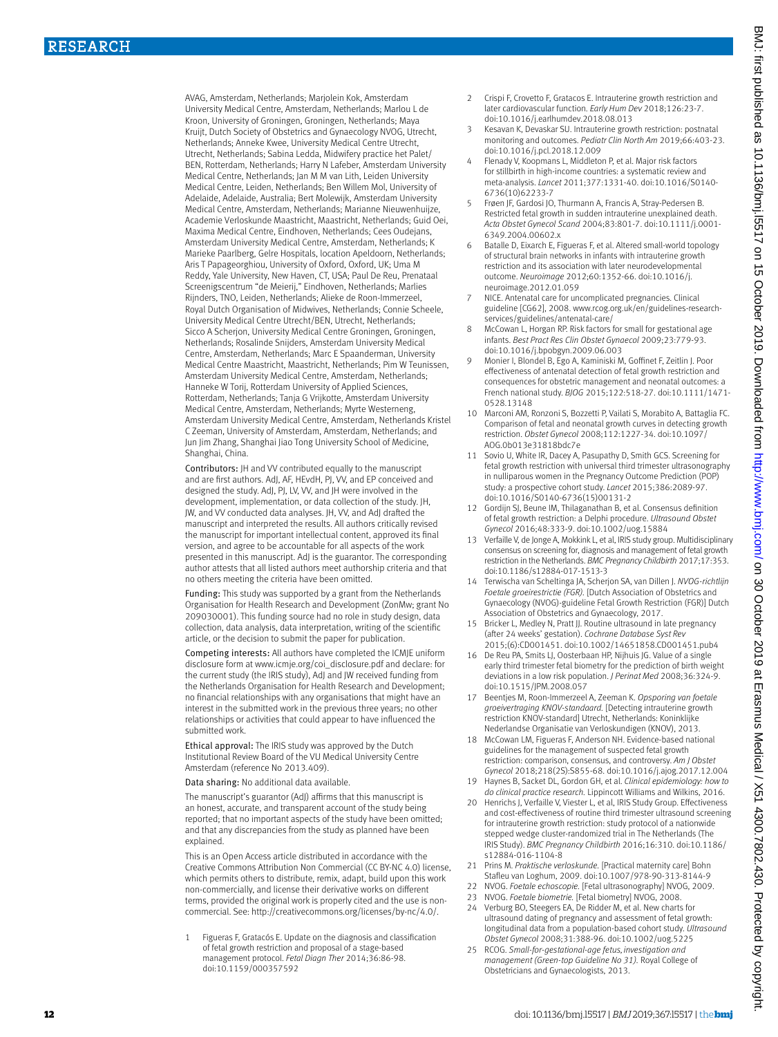AVAG, Amsterdam, Netherlands; Marjolein Kok, Amsterdam University Medical Centre, Amsterdam, Netherlands; Marlou L de Kroon, University of Groningen, Groningen, Netherlands; Maya Kruijt, Dutch Society of Obstetrics and Gynaecology NVOG, Utrecht, Netherlands; Anneke Kwee, University Medical Centre Utrecht, Utrecht, Netherlands; Sabina Ledda, Midwifery practice het Palet/ BEN, Rotterdam, Netherlands; Harry N Lafeber, Amsterdam University Medical Centre, Netherlands; Jan M M van Lith, Leiden University Medical Centre, Leiden, Netherlands; Ben Willem Mol, University of Adelaide, Adelaide, Australia; Bert Molewijk, Amsterdam University Medical Centre, Amsterdam, Netherlands; Marianne Nieuwenhuijze, Academie Verloskunde Maastricht, Maastricht, Netherlands; Guid Oei, Maxima Medical Centre, Eindhoven, Netherlands; Cees Oudejans, Amsterdam University Medical Centre, Amsterdam, Netherlands; K Marieke Paarlberg, Gelre Hospitals, location Apeldoorn, Netherlands; Aris T Papageorghiou, University of Oxford, Oxford, UK; Uma M Reddy, Yale University, New Haven, CT, USA; Paul De Reu, Prenataal Screenigscentrum "de Meierij," Eindhoven, Netherlands; Marlies Rijnders, TNO, Leiden, Netherlands; Alieke de Roon-Immerzeel, Royal Dutch Organisation of Midwives, Netherlands; Connie Scheele, University Medical Centre Utrecht/BEN, Utrecht, Netherlands; Sicco A Scherjon, University Medical Centre Groningen, Groningen, Netherlands; Rosalinde Snijders, Amsterdam University Medical Centre, Amsterdam, Netherlands; Marc E Spaanderman, University Medical Centre Maastricht, Maastricht, Netherlands; Pim W Teunissen, Amsterdam University Medical Centre, Amsterdam, Netherlands; Hanneke W Torij, Rotterdam University of Applied Sciences, Rotterdam, Netherlands; Tanja G Vrijkotte, Amsterdam University Medical Centre, Amsterdam, Netherlands; Myrte Westerneng, Amsterdam University Medical Centre, Amsterdam, Netherlands Kristel C Zeeman, University of Amsterdam, Amsterdam, Netherlands; and Jun Jim Zhang, Shanghai Jiao Tong University School of Medicine, Shanghai, China.

Contributors: JH and VV contributed equally to the manuscript and are first authors. AdJ, AF, HEvdH, PJ, VV, and EP conceived and designed the study. AdJ, PJ, LV, VV, and JH were involved in the development, implementation, or data collection of the study. JH, JW, and VV conducted data analyses. JH, VV, and AdJ drafted the manuscript and interpreted the results. All authors critically revised the manuscript for important intellectual content, approved its final version, and agree to be accountable for all aspects of the work presented in this manuscript. AdJ is the guarantor. The corresponding author attests that all listed authors meet authorship criteria and that no others meeting the criteria have been omitted.

Funding: This study was supported by a grant from the Netherlands Organisation for Health Research and Development (ZonMw; grant No 209030001). This funding source had no role in study design, data collection, data analysis, data interpretation, writing of the scientific article, or the decision to submit the paper for publication.

Competing interests: All authors have completed the ICMJE uniform disclosure form at [www.icmje.org/coi\\_disclosure.pdf](http://www.icmje.org/coi_disclosure.pdf) and declare: for the current study (the IRIS study), AdJ and JW received funding from the Netherlands Organisation for Health Research and Development; no financial relationships with any organisations that might have an interest in the submitted work in the previous three years; no other relationships or activities that could appear to have influenced the submitted work.

Ethical approval: The IRIS study was approved by the Dutch Institutional Review Board of the VU Medical University Centre Amsterdam (reference No 2013.409).

Data sharing: No additional data available.

The manuscript's guarantor (AdJ) affirms that this manuscript is an honest, accurate, and transparent account of the study being reported; that no important aspects of the study have been omitted; and that any discrepancies from the study as planned have been explained.

This is an Open Access article distributed in accordance with the Creative Commons Attribution Non Commercial (CC BY-NC 4.0) license, which permits others to distribute, remix, adapt, build upon this work non-commercially, and license their derivative works on different terms, provided the original work is properly cited and the use is noncommercial. See: [http://creativecommons.org/licenses/by-nc/4.0/.](http://creativecommons.org/licenses/by-nc/4.0/)

1 Figueras F, Gratacós E. Update on the diagnosis and classification of fetal growth restriction and proposal of a stage-based management protocol. *Fetal Diagn Ther* 2014;36:86-98. doi:10.1159/000357592

- 2 Crispi F, Crovetto F, Gratacos E, Intrauterine growth restriction and later cardiovascular function. *Early Hum Dev* 2018;126:23-7. doi:10.1016/j.earlhumdev.2018.08.013
- 3 Kesavan K, Devaskar SU. Intrauterine growth restriction: postnatal monitoring and outcomes. *Pediatr Clin North Am* 2019;66:403-23. doi:10.1016/j.pcl.2018.12.009
- Flenady V, Koopmans L, Middleton P, et al. Major risk factors for stillbirth in high-income countries: a systematic review and meta-analysis. *Lancet* 2011;377:1331-40. doi:10.1016/S0140- 6736(10)62233-7
- Frøen JF, Gardosi JO, Thurmann A, Francis A, Stray-Pedersen B. Restricted fetal growth in sudden intrauterine unexplained death. *Acta Obstet Gynecol Scand* 2004;83:801-7. doi:10.1111/j.0001- 6349.2004.00602.x
- Batalle D, Eixarch E, Figueras F, et al. Altered small-world topology of structural brain networks in infants with intrauterine growth restriction and its association with later neurodevelopmental outcome. *Neuroimage* 2012;60:1352-66. doi:10.1016/j. neuroimage.2012.01.059
- 7 NICE. Antenatal care for uncomplicated pregnancies. Clinical guideline [CG62], 2008. www.rcog.org.uk/en/guidelines-researchservices/guidelines/antenatal-care/
- 8 McCowan L, Horgan RP. Risk factors for small for gestational age infants. *Best Pract Res Clin Obstet Gynaecol* 2009;23:779-93. doi:10.1016/j.bpobgyn.2009.06.003
- 9 Monier I, Blondel B, Ego A, Kaminiski M, Goffinet F, Zeitlin J. Poor effectiveness of antenatal detection of fetal growth restriction and consequences for obstetric management and neonatal outcomes: a French national study. *BJOG* 2015;122:518-27. doi:10.1111/1471- 0528.13148
- 10 Marconi AM, Ronzoni S, Bozzetti P, Vailati S, Morabito A, Battaglia FC. Comparison of fetal and neonatal growth curves in detecting growth restriction. *Obstet Gynecol* 2008;112:1227-34. doi:10.1097/ AOG.0b013e31818bdc7e
- 11 Sovio U, White IR, Dacey A, Pasupathy D, Smith GCS. Screening for fetal growth restriction with universal third trimester ultrasonography in nulliparous women in the Pregnancy Outcome Prediction (POP) study: a prospective cohort study. *Lancet* 2015;386:2089-97. doi:10.1016/S0140-6736(15)00131-2
- 12 Gordijn SJ, Beune IM, Thilaganathan B, et al. Consensus definition of fetal growth restriction: a Delphi procedure. *Ultrasound Obstet Gynecol* 2016;48:333-9. doi:10.1002/uog.15884
- 13 Verfaille V, de Jonge A, Mokkink L, et al, IRIS study group. Multidisciplinary consensus on screening for, diagnosis and management of fetal growth restriction in the Netherlands. *BMC Pregnancy Childbirth* 2017;17:353. doi:10.1186/s12884-017-1513-3
- 14 Terwischa van Scheltinga JA, Scherjon SA, van Dillen J. *NVOG-richtlijn Foetale groeirestrictie (FGR).* [Dutch Association of Obstetrics and Gynaecology (NVOG)-guideline Fetal Growth Restriction (FGR)] Dutch Association of Obstetrics and Gynaecology, 2017.
- 15 Bricker L, Medley N, Pratt II, Routine ultrasound in late pregnancy (after 24 weeks' gestation). *Cochrane Database Syst Rev*  2015;(6):CD001451. doi:10.1002/14651858.CD001451.pub4
- 16 De Reu PA, Smits LJ, Oosterbaan HP, Nijhuis JG. Value of a single early third trimester fetal biometry for the prediction of birth weight deviations in a low risk population. *J Perinat Med* 2008;36:324-9. doi:10.1515/JPM.2008.057
- 17 Beentjes M, Roon-Immerzeel A, Zeeman K. *Opsporing van foetale groeivertraging KNOV-standaard.* [Detecting intrauterine growth restriction KNOV-standard] Utrecht, Netherlands: Koninklijke Nederlandse Organisatie van Verloskundigen (KNOV), 2013.
- 18 McCowan LM, Figueras F, Anderson NH. Evidence-based national guidelines for the management of suspected fetal growth restriction: comparison, consensus, and controversy. *Am J Obstet Gynecol* 2018;218(2S):S855-68. doi:10.1016/j.ajog.2017.12.004
- 19 Haynes B, Sacket DL, Gordon GH, et al. *Clinical epidemiology: how to do clinical practice research.* Lippincott Williams and Wilkins, 2016.
- 20 Henrichs J, Verfaille V, Viester L, et al, IRIS Study Group. Effectiveness and cost-effectiveness of routine third trimester ultrasound screening for intrauterine growth restriction: study protocol of a nationwide stepped wedge cluster-randomized trial in The Netherlands (The IRIS Study). *BMC Pregnancy Childbirth* 2016;16:310. doi:10.1186/ s12884-016-1104-8
- 21 Prins M. *Praktische verloskunde.* [Practical maternity care] Bohn Stafleu van Loghum, 2009. doi:10.1007/978-90-313-8144-9
- 22 NVOG. *Foetale echoscopie.* [Fetal ultrasonography] NVOG, 2009.
- 23 NVOG. *Foetale biometrie.* [Fetal biometry] NVOG, 2008.
- 24 Verburg BO, Steegers EA, De Ridder M, et al. New charts for ultrasound dating of pregnancy and assessment of fetal growth: longitudinal data from a population-based cohort study. *Ultrasound Obstet Gynecol* 2008;31:388-96. doi:10.1002/uog.5225
- 25 RCOG. *Small-for-gestational-age fetus, investigation and management (Green-top Guideline No 31).* Royal College of Obstetricians and Gynaecologists, 2013.